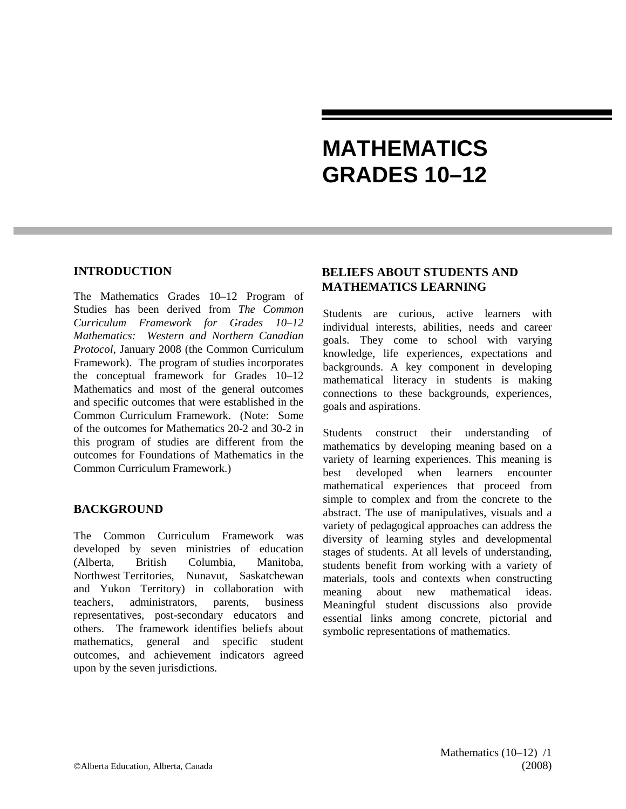# **MATHEMATICS GRADES 10–12**

### **INTRODUCTION**

The Mathematics Grades 10–12 Program of Studies has been derived from *The Common Curriculum Framework for Grades 10–12 Mathematics: Western and Northern Canadian Protocol*, January 2008 (the Common Curriculum Framework). The program of studies incorporates the conceptual framework for Grades 10–12 Mathematics and most of the general outcomes and specific outcomes that were established in the Common Curriculum Framework. (Note: Some of the outcomes for Mathematics 20-2 and 30-2 in this program of studies are different from the outcomes for Foundations of Mathematics in the Common Curriculum Framework.)

### **BACKGROUND**

The Common Curriculum Framework was developed by seven ministries of education (Alberta, British Columbia, Manitoba, Northwest Territories, Nunavut, Saskatchewan and Yukon Territory) in collaboration with teachers, administrators, parents, business representatives, post-secondary educators and others. The framework identifies beliefs about mathematics, general and specific student outcomes, and achievement indicators agreed upon by the seven jurisdictions.

## **BELIEFS ABOUT STUDENTS AND MATHEMATICS LEARNING**

Students are curious, active learners with individual interests, abilities, needs and career goals. They come to school with varying knowledge, life experiences, expectations and backgrounds. A key component in developing mathematical literacy in students is making connections to these backgrounds, experiences, goals and aspirations.

Students construct their understanding of mathematics by developing meaning based on a variety of learning experiences. This meaning is best developed when learners encounter mathematical experiences that proceed from simple to complex and from the concrete to the abstract. The use of manipulatives, visuals and a variety of pedagogical approaches can address the diversity of learning styles and developmental stages of students. At all levels of understanding, students benefit from working with a variety of materials, tools and contexts when constructing meaning about new mathematical ideas. Meaningful student discussions also provide essential links among concrete, pictorial and symbolic representations of mathematics.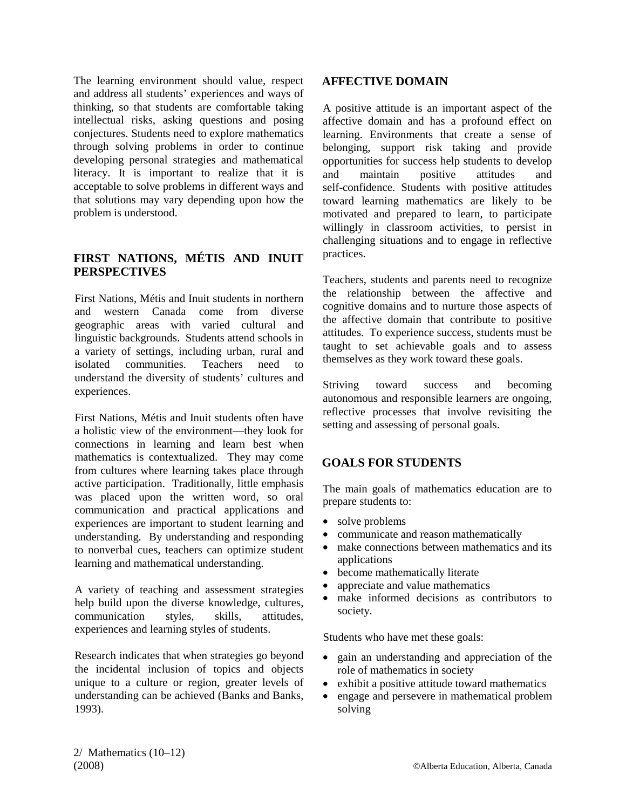The learning environment should value, respect and address all students' experiences and ways of thinking, so that students are comfortable taking intellectual risks, asking questions and posing conjectures. Students need to explore mathematics through solving problems in order to continue developing personal strategies and mathematical literacy. It is important to realize that it is acceptable to solve problems in different ways and that solutions may vary depending upon how the problem is understood.

## **FIRST NATIONS, MÉTIS AND INUIT PERSPECTIVES**

First Nations, Métis and Inuit students in northern and western Canada come from diverse geographic areas with varied cultural and linguistic backgrounds. Students attend schools in a variety of settings, including urban, rural and isolated communities. Teachers need to understand the diversity of students' cultures and experiences.

First Nations, Métis and Inuit students often have a holistic view of the environment—they look for connections in learning and learn best when mathematics is contextualized. They may come from cultures where learning takes place through active participation. Traditionally, little emphasis was placed upon the written word, so oral communication and practical applications and experiences are important to student learning and understanding. By understanding and responding to nonverbal cues, teachers can optimize student learning and mathematical understanding.

A variety of teaching and assessment strategies help build upon the diverse knowledge, cultures, communication styles, skills, attitudes, experiences and learning styles of students.

Research indicates that when strategies go beyond the incidental inclusion of topics and objects unique to a culture or region, greater levels of understanding can be achieved (Banks and Banks, 1993).

## **AFFECTIVE DOMAIN**

A positive attitude is an important aspect of the affective domain and has a profound effect on learning. Environments that create a sense of belonging, support risk taking and provide opportunities for success help students to develop and maintain positive attitudes and self-confidence. Students with positive attitudes toward learning mathematics are likely to be motivated and prepared to learn, to participate willingly in classroom activities, to persist in challenging situations and to engage in reflective practices.

Teachers, students and parents need to recognize the relationship between the affective and cognitive domains and to nurture those aspects of the affective domain that contribute to positive attitudes. To experience success, students must be taught to set achievable goals and to assess themselves as they work toward these goals.

Striving toward success and becoming autonomous and responsible learners are ongoing, reflective processes that involve revisiting the setting and assessing of personal goals.

## **GOALS FOR STUDENTS**

The main goals of mathematics education are to prepare students to:

- solve problems
- communicate and reason mathematically
- make connections between mathematics and its applications
- become mathematically literate
- appreciate and value mathematics
- make informed decisions as contributors to society.

Students who have met these goals:

- gain an understanding and appreciation of the role of mathematics in society
- exhibit a positive attitude toward mathematics
- engage and persevere in mathematical problem solving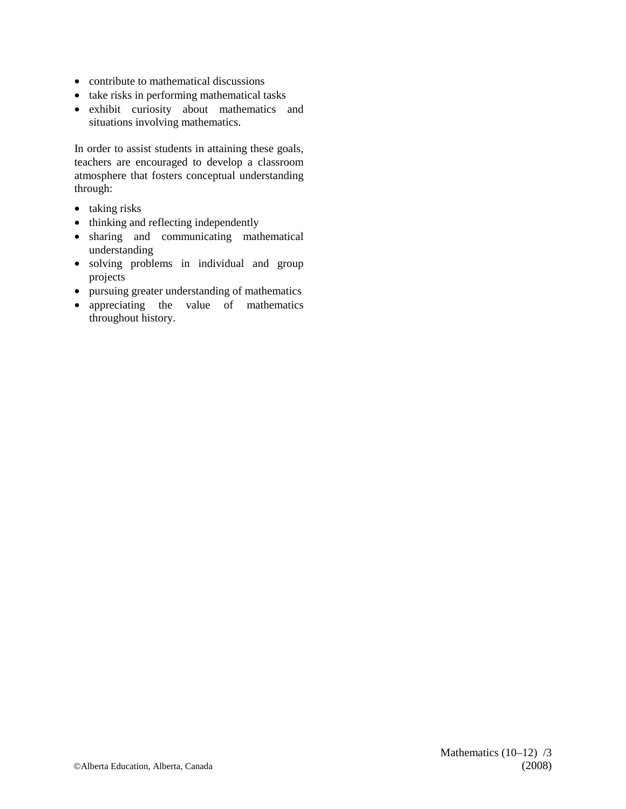- contribute to mathematical discussions
- take risks in performing mathematical tasks
- exhibit curiosity about mathematics and situations involving mathematics.

In order to assist students in attaining these goals, teachers are encouraged to develop a classroom atmosphere that fosters conceptual understanding through:

- taking risks
- thinking and reflecting independently
- sharing and communicating mathematical understanding
- solving problems in individual and group projects
- pursuing greater understanding of mathematics
- appreciating the value of mathematics throughout history.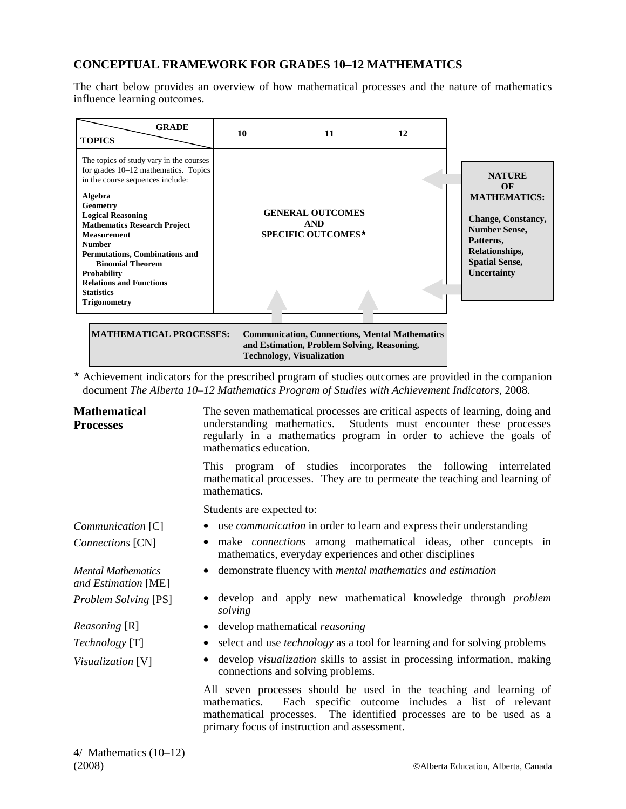## **CONCEPTUAL FRAMEWORK FOR GRADES 10–12 MATHEMATICS**

The chart below provides an overview of how mathematical processes and the nature of mathematics influence learning outcomes.

|                                                                                                                                                                                                                                                                                                                                                  |                                                             | 12 |                                                                                                                                                                        |
|--------------------------------------------------------------------------------------------------------------------------------------------------------------------------------------------------------------------------------------------------------------------------------------------------------------------------------------------------|-------------------------------------------------------------|----|------------------------------------------------------------------------------------------------------------------------------------------------------------------------|
| The topics of study vary in the courses<br>for grades $10-12$ mathematics. Topics<br>in the course sequences include:<br>Algebra<br>Geometry<br><b>Logical Reasoning</b><br><b>Mathematics Research Project</b><br><b>Measurement</b><br><b>Number</b><br><b>Permutations, Combinations and</b><br><b>Binomial Theorem</b><br><b>Probability</b> | <b>GENERAL OUTCOMES</b><br><b>AND</b><br>SPECIFIC OUTCOMES* |    | <b>NATURE</b><br>OF<br><b>MATHEMATICS:</b><br><b>Change, Constancy,</b><br><b>Number Sense,</b><br>Patterns,<br>Relationships,<br><b>Spatial Sense,</b><br>Uncertainty |
| <b>Relations and Functions</b><br><b>Statistics</b><br><b>Trigonometry</b>                                                                                                                                                                                                                                                                       |                                                             |    |                                                                                                                                                                        |

**and Estimation, Problem Solving, Reasoning, Technology, Visualization** 

\* Achievement indicators for the prescribed program of studies outcomes are provided in the companion document *The Alberta 10–12 Mathematics Program of Studies with Achievement Indicators*, 2008.

| <b>Mathematical</b><br><b>Processes</b>          | The seven mathematical processes are critical aspects of learning, doing and<br>Students must encounter these processes<br>understanding mathematics.<br>regularly in a mathematics program in order to achieve the goals of<br>mathematics education.       |
|--------------------------------------------------|--------------------------------------------------------------------------------------------------------------------------------------------------------------------------------------------------------------------------------------------------------------|
|                                                  | This program of studies incorporates the following interrelated<br>mathematical processes. They are to permeate the teaching and learning of<br>mathematics.                                                                                                 |
|                                                  | Students are expected to:                                                                                                                                                                                                                                    |
| Communication [C]                                | • use <i>communication</i> in order to learn and express their understanding                                                                                                                                                                                 |
| Connections [CN]                                 | make <i>connections</i> among mathematical ideas, other concepts in<br>$\bullet$<br>mathematics, everyday experiences and other disciplines                                                                                                                  |
| <b>Mental Mathematics</b><br>and Estimation [ME] | • demonstrate fluency with <i>mental mathematics and estimation</i>                                                                                                                                                                                          |
| <b>Problem Solving [PS]</b>                      | develop and apply new mathematical knowledge through problem<br>solving                                                                                                                                                                                      |
| <i>Reasoning</i> [R]                             | • develop mathematical reasoning                                                                                                                                                                                                                             |
| <i>Technology</i> [T]                            | select and use <i>technology</i> as a tool for learning and for solving problems                                                                                                                                                                             |
| Visualization [V]                                | develop visualization skills to assist in processing information, making<br>٠<br>connections and solving problems.                                                                                                                                           |
|                                                  | All seven processes should be used in the teaching and learning of<br>mathematics. Each specific outcome includes a list of relevant<br>mathematical processes. The identified processes are to be used as a<br>primary focus of instruction and assessment. |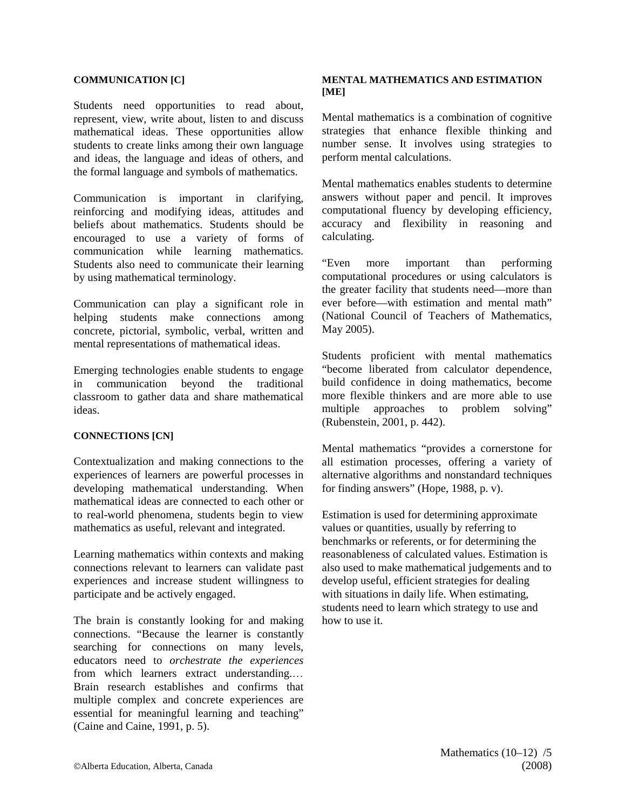#### **COMMUNICATION [C]**

Students need opportunities to read about, represent, view, write about, listen to and discuss mathematical ideas. These opportunities allow students to create links among their own language and ideas, the language and ideas of others, and the formal language and symbols of mathematics.

Communication is important in clarifying, reinforcing and modifying ideas, attitudes and beliefs about mathematics. Students should be encouraged to use a variety of forms of communication while learning mathematics. Students also need to communicate their learning by using mathematical terminology.

Communication can play a significant role in helping students make connections among concrete, pictorial, symbolic, verbal, written and mental representations of mathematical ideas.

Emerging technologies enable students to engage in communication beyond the traditional classroom to gather data and share mathematical ideas.

#### **CONNECTIONS [CN]**

Contextualization and making connections to the experiences of learners are powerful processes in developing mathematical understanding. When mathematical ideas are connected to each other or to real-world phenomena, students begin to view mathematics as useful, relevant and integrated.

Learning mathematics within contexts and making connections relevant to learners can validate past experiences and increase student willingness to participate and be actively engaged.

The brain is constantly looking for and making connections. "Because the learner is constantly searching for connections on many levels, educators need to *orchestrate the experiences* from which learners extract understanding.… Brain research establishes and confirms that multiple complex and concrete experiences are essential for meaningful learning and teaching" (Caine and Caine, 1991, p. 5).

#### **MENTAL MATHEMATICS AND ESTIMATION [ME]**

Mental mathematics is a combination of cognitive strategies that enhance flexible thinking and number sense. It involves using strategies to perform mental calculations.

Mental mathematics enables students to determine answers without paper and pencil. It improves computational fluency by developing efficiency, accuracy and flexibility in reasoning and calculating.

"Even more important than performing computational procedures or using calculators is the greater facility that students need—more than ever before—with estimation and mental math" (National Council of Teachers of Mathematics, May 2005).

Students proficient with mental mathematics "become liberated from calculator dependence, build confidence in doing mathematics, become more flexible thinkers and are more able to use multiple approaches to problem solving" (Rubenstein, 2001, p. 442).

Mental mathematics "provides a cornerstone for all estimation processes, offering a variety of alternative algorithms and nonstandard techniques for finding answers" (Hope, 1988, p. v).

Estimation is used for determining approximate values or quantities, usually by referring to benchmarks or referents, or for determining the reasonableness of calculated values. Estimation is also used to make mathematical judgements and to develop useful, efficient strategies for dealing with situations in daily life. When estimating, students need to learn which strategy to use and how to use it.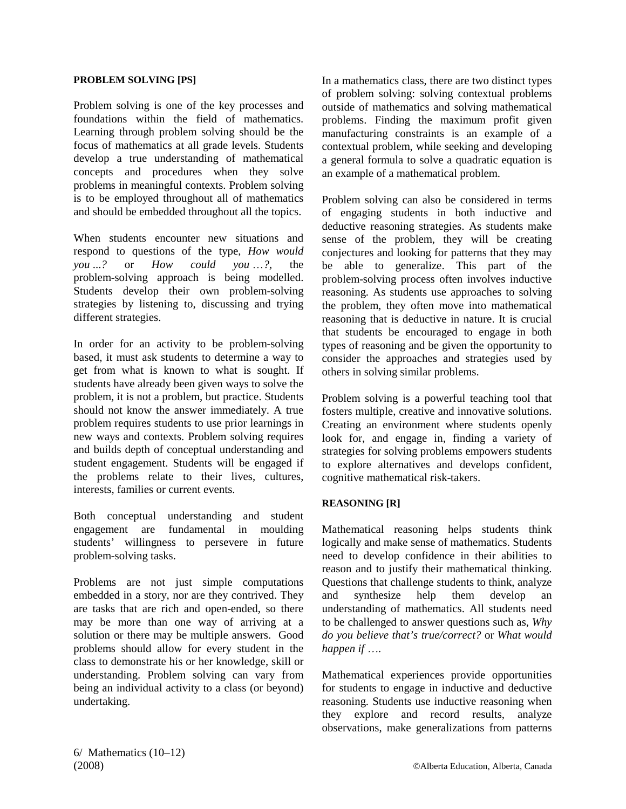#### **PROBLEM SOLVING [PS]**

Problem solving is one of the key processes and foundations within the field of mathematics. Learning through problem solving should be the focus of mathematics at all grade levels. Students develop a true understanding of mathematical concepts and procedures when they solve problems in meaningful contexts. Problem solving is to be employed throughout all of mathematics and should be embedded throughout all the topics.

When students encounter new situations and respond to questions of the type, *How would you* ...*?* or *How could you* …*?,* the problem-solving approach is being modelled. Students develop their own problem-solving strategies by listening to, discussing and trying different strategies.

In order for an activity to be problem-solving based, it must ask students to determine a way to get from what is known to what is sought. If students have already been given ways to solve the problem, it is not a problem, but practice. Students should not know the answer immediately. A true problem requires students to use prior learnings in new ways and contexts. Problem solving requires and builds depth of conceptual understanding and student engagement. Students will be engaged if the problems relate to their lives, cultures, interests, families or current events.

Both conceptual understanding and student engagement are fundamental in moulding students' willingness to persevere in future problem-solving tasks.

Problems are not just simple computations embedded in a story, nor are they contrived. They are tasks that are rich and open-ended, so there may be more than one way of arriving at a solution or there may be multiple answers. Good problems should allow for every student in the class to demonstrate his or her knowledge, skill or understanding. Problem solving can vary from being an individual activity to a class (or beyond) undertaking.

In a mathematics class, there are two distinct types of problem solving: solving contextual problems outside of mathematics and solving mathematical problems. Finding the maximum profit given manufacturing constraints is an example of a contextual problem, while seeking and developing a general formula to solve a quadratic equation is an example of a mathematical problem.

Problem solving can also be considered in terms of engaging students in both inductive and deductive reasoning strategies. As students make sense of the problem, they will be creating conjectures and looking for patterns that they may be able to generalize. This part of the problem-solving process often involves inductive reasoning. As students use approaches to solving the problem, they often move into mathematical reasoning that is deductive in nature. It is crucial that students be encouraged to engage in both types of reasoning and be given the opportunity to consider the approaches and strategies used by others in solving similar problems.

Problem solving is a powerful teaching tool that fosters multiple, creative and innovative solutions. Creating an environment where students openly look for, and engage in, finding a variety of strategies for solving problems empowers students to explore alternatives and develops confident, cognitive mathematical risk-takers.

#### **REASONING [R]**

Mathematical reasoning helps students think logically and make sense of mathematics. Students need to develop confidence in their abilities to reason and to justify their mathematical thinking. Questions that challenge students to think, analyze and synthesize help them develop an understanding of mathematics. All students need to be challenged to answer questions such as, *Why do you believe that's true/correct?* or *What would happen if* …*.*

Mathematical experiences provide opportunities for students to engage in inductive and deductive reasoning. Students use inductive reasoning when they explore and record results, analyze observations, make generalizations from patterns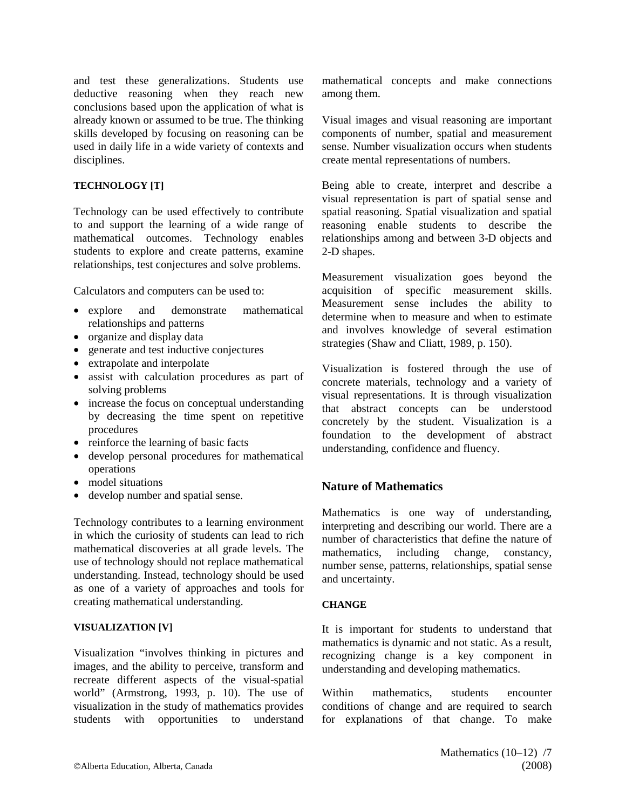and test these generalizations. Students use deductive reasoning when they reach new conclusions based upon the application of what is already known or assumed to be true. The thinking skills developed by focusing on reasoning can be used in daily life in a wide variety of contexts and disciplines.

#### **TECHNOLOGY [T]**

Technology can be used effectively to contribute to and support the learning of a wide range of mathematical outcomes. Technology enables students to explore and create patterns, examine relationships, test conjectures and solve problems.

Calculators and computers can be used to:

- explore and demonstrate mathematical relationships and patterns
- organize and display data
- generate and test inductive conjectures
- extrapolate and interpolate
- assist with calculation procedures as part of solving problems
- increase the focus on conceptual understanding by decreasing the time spent on repetitive procedures
- reinforce the learning of basic facts
- develop personal procedures for mathematical operations
- model situations
- develop number and spatial sense.

Technology contributes to a learning environment in which the curiosity of students can lead to rich mathematical discoveries at all grade levels. The use of technology should not replace mathematical understanding. Instead, technology should be used as one of a variety of approaches and tools for creating mathematical understanding.

#### **VISUALIZATION [V]**

Visualization "involves thinking in pictures and images, and the ability to perceive, transform and recreate different aspects of the visual-spatial world" (Armstrong, 1993, p. 10). The use of visualization in the study of mathematics provides students with opportunities to understand mathematical concepts and make connections among them.

Visual images and visual reasoning are important components of number, spatial and measurement sense. Number visualization occurs when students create mental representations of numbers.

Being able to create, interpret and describe a visual representation is part of spatial sense and spatial reasoning. Spatial visualization and spatial reasoning enable students to describe the relationships among and between 3-D objects and 2-D shapes.

Measurement visualization goes beyond the acquisition of specific measurement skills. Measurement sense includes the ability to determine when to measure and when to estimate and involves knowledge of several estimation strategies (Shaw and Cliatt, 1989, p. 150).

Visualization is fostered through the use of concrete materials, technology and a variety of visual representations. It is through visualization that abstract concepts can be understood concretely by the student. Visualization is a foundation to the development of abstract understanding, confidence and fluency.

### **Nature of Mathematics**

Mathematics is one way of understanding, interpreting and describing our world. There are a number of characteristics that define the nature of mathematics, including change, constancy, number sense, patterns, relationships, spatial sense and uncertainty.

#### **CHANGE**

It is important for students to understand that mathematics is dynamic and not static. As a result, recognizing change is a key component in understanding and developing mathematics.

Within mathematics, students encounter conditions of change and are required to search for explanations of that change. To make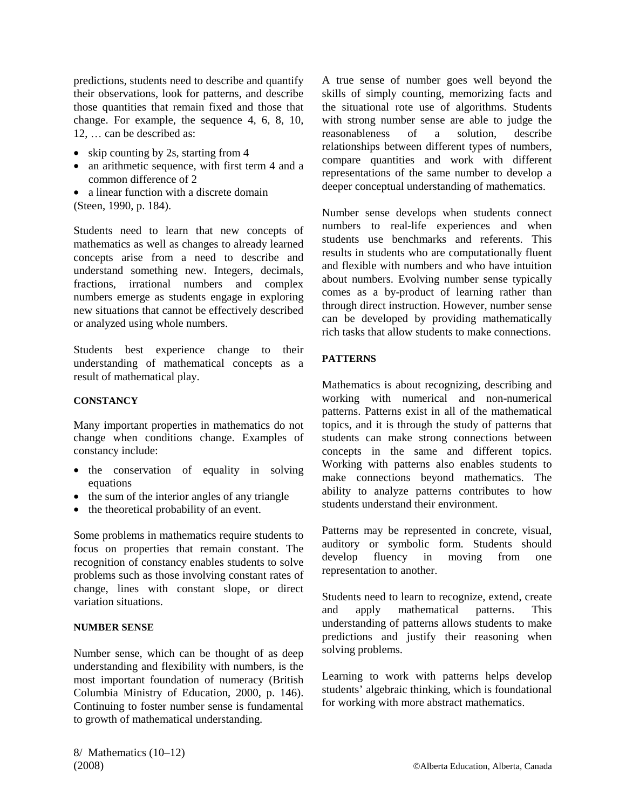predictions, students need to describe and quantify their observations, look for patterns, and describe those quantities that remain fixed and those that change. For example, the sequence 4, 6, 8, 10, 12, … can be described as:

- skip counting by 2s, starting from 4
- an arithmetic sequence, with first term 4 and a common difference of 2
- a linear function with a discrete domain
- (Steen, 1990, p. 184).

Students need to learn that new concepts of mathematics as well as changes to already learned concepts arise from a need to describe and understand something new. Integers, decimals, fractions, irrational numbers and complex numbers emerge as students engage in exploring new situations that cannot be effectively described or analyzed using whole numbers.

Students best experience change to their understanding of mathematical concepts as a result of mathematical play.

#### **CONSTANCY**

Many important properties in mathematics do not change when conditions change. Examples of constancy include:

- the conservation of equality in solving equations
- the sum of the interior angles of any triangle
- the theoretical probability of an event.

Some problems in mathematics require students to focus on properties that remain constant. The recognition of constancy enables students to solve problems such as those involving constant rates of change, lines with constant slope, or direct variation situations.

#### **NUMBER SENSE**

Number sense, which can be thought of as deep understanding and flexibility with numbers, is the most important foundation of numeracy (British Columbia Ministry of Education, 2000, p. 146). Continuing to foster number sense is fundamental to growth of mathematical understanding.

A true sense of number goes well beyond the skills of simply counting, memorizing facts and the situational rote use of algorithms. Students with strong number sense are able to judge the reasonableness of a solution, describe relationships between different types of numbers, compare quantities and work with different representations of the same number to develop a deeper conceptual understanding of mathematics.

Number sense develops when students connect numbers to real-life experiences and when students use benchmarks and referents. This results in students who are computationally fluent and flexible with numbers and who have intuition about numbers. Evolving number sense typically comes as a by-product of learning rather than through direct instruction. However, number sense can be developed by providing mathematically rich tasks that allow students to make connections.

#### **PATTERNS**

Mathematics is about recognizing, describing and working with numerical and non-numerical patterns. Patterns exist in all of the mathematical topics, and it is through the study of patterns that students can make strong connections between concepts in the same and different topics. Working with patterns also enables students to make connections beyond mathematics. The ability to analyze patterns contributes to how students understand their environment.

Patterns may be represented in concrete, visual, auditory or symbolic form. Students should develop fluency in moving from one representation to another.

Students need to learn to recognize, extend, create and apply mathematical patterns. This understanding of patterns allows students to make predictions and justify their reasoning when solving problems.

Learning to work with patterns helps develop students' algebraic thinking, which is foundational for working with more abstract mathematics.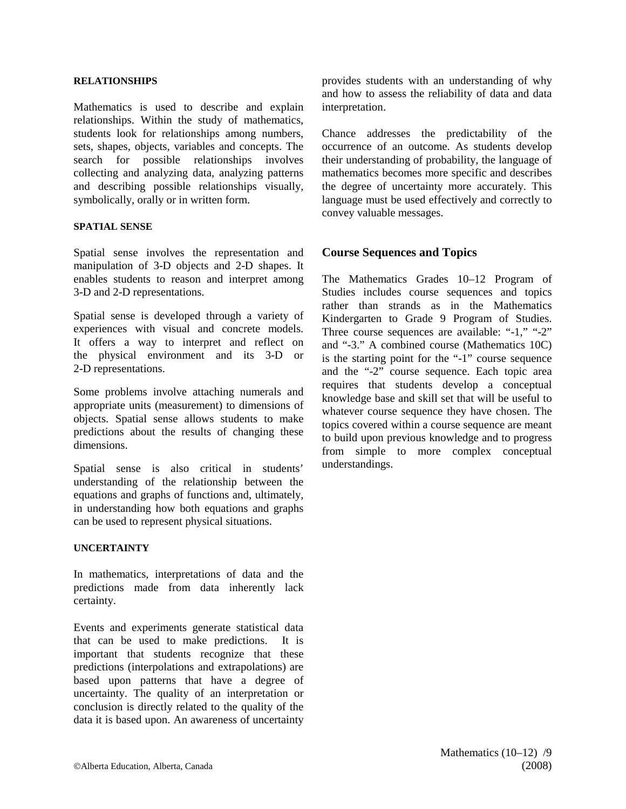#### **RELATIONSHIPS**

Mathematics is used to describe and explain relationships. Within the study of mathematics, students look for relationships among numbers, sets, shapes, objects, variables and concepts. The search for possible relationships involves collecting and analyzing data, analyzing patterns and describing possible relationships visually, symbolically, orally or in written form.

#### **SPATIAL SENSE**

Spatial sense involves the representation and manipulation of 3-D objects and 2-D shapes. It enables students to reason and interpret among 3-D and 2-D representations.

Spatial sense is developed through a variety of experiences with visual and concrete models. It offers a way to interpret and reflect on the physical environment and its 3-D or 2-D representations.

Some problems involve attaching numerals and appropriate units (measurement) to dimensions of objects. Spatial sense allows students to make predictions about the results of changing these dimensions.

Spatial sense is also critical in students' understanding of the relationship between the equations and graphs of functions and, ultimately, in understanding how both equations and graphs can be used to represent physical situations.

#### **UNCERTAINTY**

In mathematics, interpretations of data and the predictions made from data inherently lack certainty.

Events and experiments generate statistical data that can be used to make predictions. It is important that students recognize that these predictions (interpolations and extrapolations) are based upon patterns that have a degree of uncertainty. The quality of an interpretation or conclusion is directly related to the quality of the data it is based upon. An awareness of uncertainty

provides students with an understanding of why and how to assess the reliability of data and data interpretation.

Chance addresses the predictability of the occurrence of an outcome. As students develop their understanding of probability, the language of mathematics becomes more specific and describes the degree of uncertainty more accurately. This language must be used effectively and correctly to convey valuable messages.

#### **Course Sequences and Topics**

The Mathematics Grades 10–12 Program of Studies includes course sequences and topics rather than strands as in the Mathematics Kindergarten to Grade 9 Program of Studies. Three course sequences are available: "-1," "-2" and "-3." A combined course (Mathematics 10C) is the starting point for the "-1" course sequence and the "-2" course sequence. Each topic area requires that students develop a conceptual knowledge base and skill set that will be useful to whatever course sequence they have chosen. The topics covered within a course sequence are meant to build upon previous knowledge and to progress from simple to more complex conceptual understandings.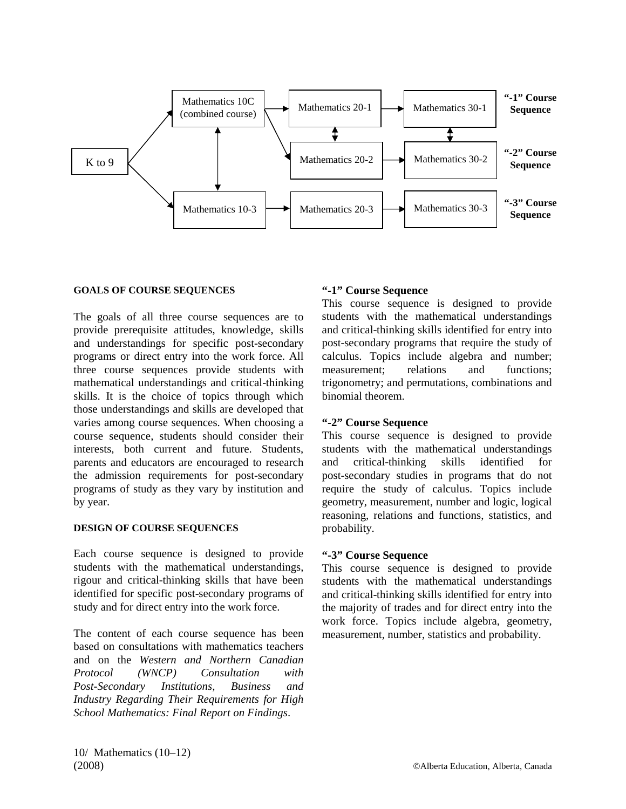

#### **GOALS OF COURSE SEQUENCES**

The goals of all three course sequences are to provide prerequisite attitudes, knowledge, skills and understandings for specific post-secondary programs or direct entry into the work force. All three course sequences provide students with mathematical understandings and critical-thinking skills. It is the choice of topics through which those understandings and skills are developed that varies among course sequences. When choosing a course sequence, students should consider their interests, both current and future. Students, parents and educators are encouraged to research the admission requirements for post-secondary programs of study as they vary by institution and by year.

#### **DESIGN OF COURSE SEQUENCES**

Each course sequence is designed to provide students with the mathematical understandings, rigour and critical-thinking skills that have been identified for specific post-secondary programs of study and for direct entry into the work force.

The content of each course sequence has been based on consultations with mathematics teachers and on the *Western and Northern Canadian Protocol (WNCP) Consultation with Post-Secondary Institutions, Business and Industry Regarding Their Requirements for High School Mathematics: Final Report on Findings*.

#### **"-1" Course Sequence**

This course sequence is designed to provide students with the mathematical understandings and critical-thinking skills identified for entry into post-secondary programs that require the study of calculus. Topics include algebra and number; measurement: relations and functions: trigonometry; and permutations, combinations and binomial theorem.

#### **"-2" Course Sequence**

This course sequence is designed to provide students with the mathematical understandings and critical-thinking skills identified for post-secondary studies in programs that do not require the study of calculus. Topics include geometry, measurement, number and logic, logical reasoning, relations and functions, statistics, and probability.

#### **"-3" Course Sequence**

This course sequence is designed to provide students with the mathematical understandings and critical-thinking skills identified for entry into the majority of trades and for direct entry into the work force. Topics include algebra, geometry, measurement, number, statistics and probability.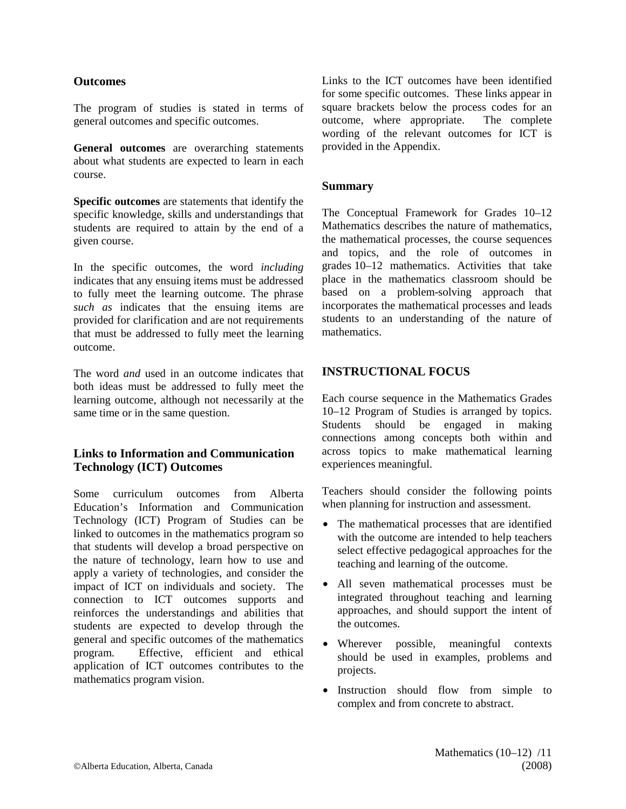#### **Outcomes**

The program of studies is stated in terms of general outcomes and specific outcomes.

**General outcomes** are overarching statements about what students are expected to learn in each course.

**Specific outcomes** are statements that identify the specific knowledge, skills and understandings that students are required to attain by the end of a given course.

In the specific outcomes, the word *including* indicates that any ensuing items must be addressed to fully meet the learning outcome. The phrase *such as* indicates that the ensuing items are provided for clarification and are not requirements that must be addressed to fully meet the learning outcome.

The word *and* used in an outcome indicates that both ideas must be addressed to fully meet the learning outcome, although not necessarily at the same time or in the same question.

#### **Links to Information and Communication Technology (ICT) Outcomes**

Some curriculum outcomes from Alberta Education's Information and Communication Technology (ICT) Program of Studies can be linked to outcomes in the mathematics program so that students will develop a broad perspective on the nature of technology, learn how to use and apply a variety of technologies, and consider the impact of ICT on individuals and society. The connection to ICT outcomes supports and reinforces the understandings and abilities that students are expected to develop through the general and specific outcomes of the mathematics program. Effective, efficient and ethical application of ICT outcomes contributes to the mathematics program vision.

Links to the ICT outcomes have been identified for some specific outcomes. These links appear in square brackets below the process codes for an outcome, where appropriate. The complete wording of the relevant outcomes for ICT is provided in the Appendix.

#### **Summary**

The Conceptual Framework for Grades 10–12 Mathematics describes the nature of mathematics, the mathematical processes, the course sequences and topics, and the role of outcomes in grades 10–12 mathematics. Activities that take place in the mathematics classroom should be based on a problem-solving approach that incorporates the mathematical processes and leads students to an understanding of the nature of mathematics.

## **INSTRUCTIONAL FOCUS**

Each course sequence in the Mathematics Grades 10–12 Program of Studies is arranged by topics. Students should be engaged in making connections among concepts both within and across topics to make mathematical learning experiences meaningful.

Teachers should consider the following points when planning for instruction and assessment.

- The mathematical processes that are identified with the outcome are intended to help teachers select effective pedagogical approaches for the teaching and learning of the outcome.
- All seven mathematical processes must be integrated throughout teaching and learning approaches, and should support the intent of the outcomes.
- Wherever possible, meaningful contexts should be used in examples, problems and projects.
- Instruction should flow from simple to complex and from concrete to abstract.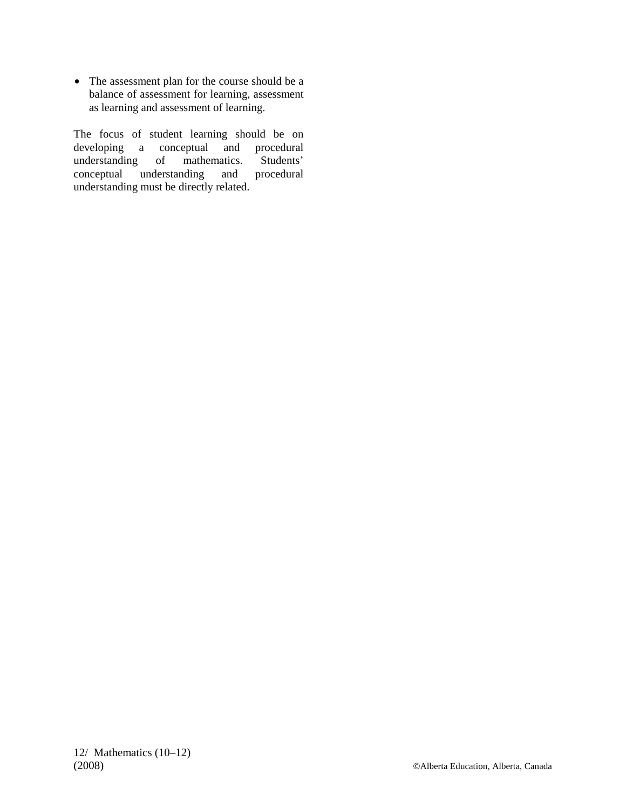• The assessment plan for the course should be a balance of assessment for learning, assessment as learning and assessment of learning.

The focus of student learning should be on developing a conceptual and procedural developing a conceptual understanding of mathematics. Students' conceptual understanding and procedural understanding must be directly related.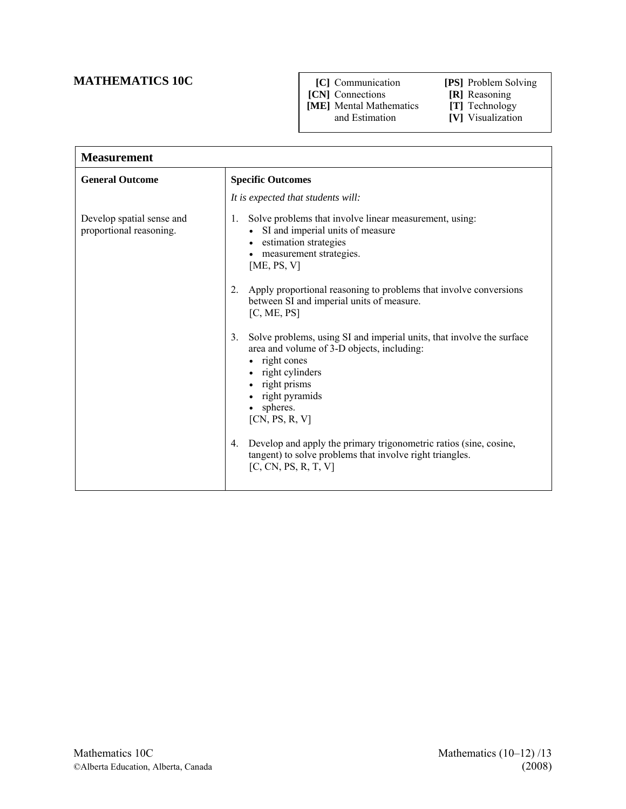## **MATHEMATICS 10C** [C] Communication **[PS]** Problem Solving

- 
- -
- **[CN]** Connections **[R]** Reasoning **[ME]** Mental Mathematics **[T]** Technology **[ME]** Mental Mathematics and Estimation
- 
- **[V]** Visualization

| <b>Measurement</b>                                   |                                                                                                                                                                                                                                                                                                                                                                                        |  |
|------------------------------------------------------|----------------------------------------------------------------------------------------------------------------------------------------------------------------------------------------------------------------------------------------------------------------------------------------------------------------------------------------------------------------------------------------|--|
| <b>General Outcome</b>                               | <b>Specific Outcomes</b>                                                                                                                                                                                                                                                                                                                                                               |  |
|                                                      | It is expected that students will:                                                                                                                                                                                                                                                                                                                                                     |  |
| Develop spatial sense and<br>proportional reasoning. | Solve problems that involve linear measurement, using:<br>1.<br>• SI and imperial units of measure<br>• estimation strategies<br>measurement strategies.<br>[ME, PS, V]<br>Apply proportional reasoning to problems that involve conversions<br>2 <sub>1</sub><br>between SI and imperial units of measure.<br>[C, ME, PS]                                                             |  |
|                                                      | Solve problems, using SI and imperial units, that involve the surface<br>3 <sub>1</sub><br>area and volume of 3-D objects, including:<br>• right cones<br>• right cylinders<br>• right prisms<br>• right pyramids<br>spheres.<br>[CN, PS, R, V]<br>Develop and apply the primary trigonometric ratios (sine, cosine,<br>4.<br>tangent) to solve problems that involve right triangles. |  |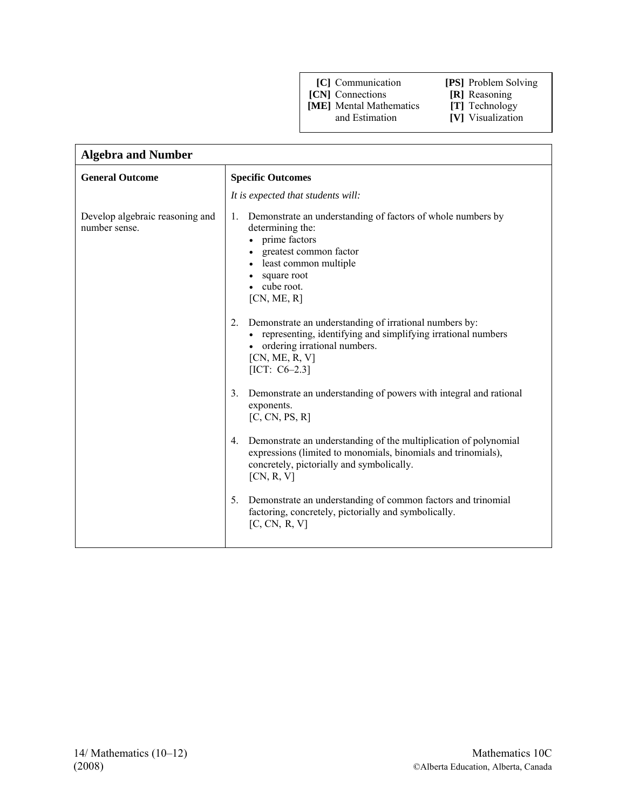**[CN]** Connections **[R]** Reasoning

**[ME]** Mental Mathematics **[T]** Technology

- 
- 
- **[V]** Visualization

| <b>Algebra and Number</b>                                                                                                                                                                                                                                                                                                                                                                                                                                                                                                                                                                                                                                                                                                                                                                                                                                                                 |  |  |
|-------------------------------------------------------------------------------------------------------------------------------------------------------------------------------------------------------------------------------------------------------------------------------------------------------------------------------------------------------------------------------------------------------------------------------------------------------------------------------------------------------------------------------------------------------------------------------------------------------------------------------------------------------------------------------------------------------------------------------------------------------------------------------------------------------------------------------------------------------------------------------------------|--|--|
| <b>Specific Outcomes</b>                                                                                                                                                                                                                                                                                                                                                                                                                                                                                                                                                                                                                                                                                                                                                                                                                                                                  |  |  |
| It is expected that students will:                                                                                                                                                                                                                                                                                                                                                                                                                                                                                                                                                                                                                                                                                                                                                                                                                                                        |  |  |
| Demonstrate an understanding of factors of whole numbers by<br>1.<br>determining the:<br>prime factors<br>greatest common factor<br>least common multiple<br>square root<br>cube root.<br>[CN, ME, R]<br>Demonstrate an understanding of irrational numbers by:<br>$2_{-}$<br>• representing, identifying and simplifying irrational numbers<br>• ordering irrational numbers.<br>[CN, ME, R, V]<br>[ICT: $C6-2.3$ ]<br>Demonstrate an understanding of powers with integral and rational<br>3.<br>exponents.<br>[C, CN, PS, R]<br>Demonstrate an understanding of the multiplication of polynomial<br>4.<br>expressions (limited to monomials, binomials and trinomials),<br>concretely, pictorially and symbolically.<br>[CN, R, V]<br>Demonstrate an understanding of common factors and trinomial<br>$5_{-}$<br>factoring, concretely, pictorially and symbolically.<br>[C, CN, R, V] |  |  |
|                                                                                                                                                                                                                                                                                                                                                                                                                                                                                                                                                                                                                                                                                                                                                                                                                                                                                           |  |  |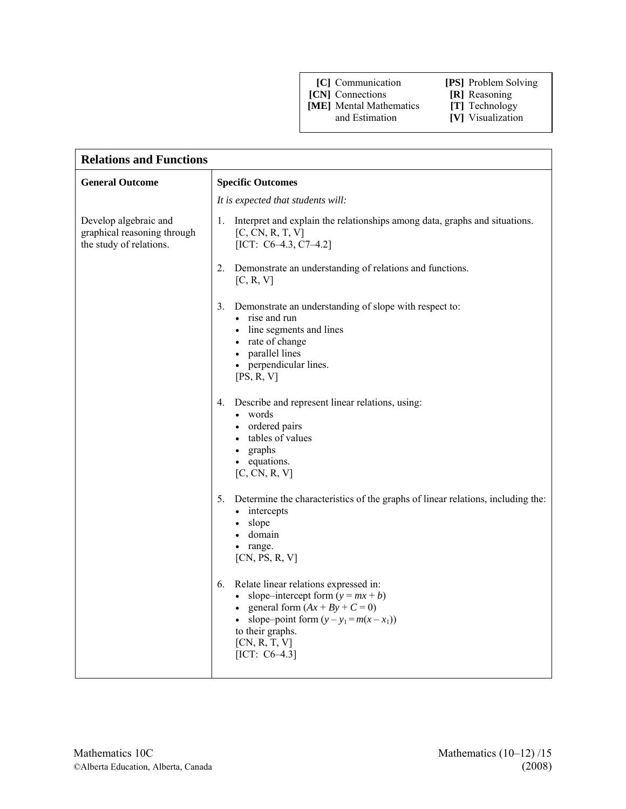- **[CN]** Connections **[R]** Reasoning
- **[ME]** Mental Mathematics **[T]** Technology
- 
- 
- **[V]** Visualization

| <b>Relations and Functions</b>                                                  |                                                                                                                                                                                                                                    |  |
|---------------------------------------------------------------------------------|------------------------------------------------------------------------------------------------------------------------------------------------------------------------------------------------------------------------------------|--|
| <b>General Outcome</b>                                                          | <b>Specific Outcomes</b>                                                                                                                                                                                                           |  |
|                                                                                 | It is expected that students will:                                                                                                                                                                                                 |  |
| Develop algebraic and<br>graphical reasoning through<br>the study of relations. | 1. Interpret and explain the relationships among data, graphs and situations.<br>[C, CN, R, T, V]<br>[ICT: $C6-4.3$ , $C7-4.2$ ]                                                                                                   |  |
|                                                                                 | Demonstrate an understanding of relations and functions.<br>2.<br>[C, R, V]                                                                                                                                                        |  |
|                                                                                 | Demonstrate an understanding of slope with respect to:<br>3.<br>• rise and run<br>• line segments and lines<br>• rate of change<br>parallel lines<br>$\bullet$<br>• perpendicular lines.<br>[PS, R, V]                             |  |
|                                                                                 | Describe and represent linear relations, using:<br>4.<br>• words<br>• ordered pairs<br>tables of values<br>graphs<br>$\bullet$<br>• equations.<br>[C, CN, R, V]                                                                    |  |
|                                                                                 | Determine the characteristics of the graphs of linear relations, including the:<br>5.<br>• intercepts<br>slope<br>domain<br>• range.<br>[CN, PS, R, V]                                                                             |  |
|                                                                                 | Relate linear relations expressed in:<br>6.<br>• slope-intercept form $(y = mx + b)$<br>• general form $(Ax + By + C = 0)$<br>• slope-point form $(y - y_1 = m(x - x_1))$<br>to their graphs.<br>[CN, R, T, V]<br>[ICT: $C6-4.3$ ] |  |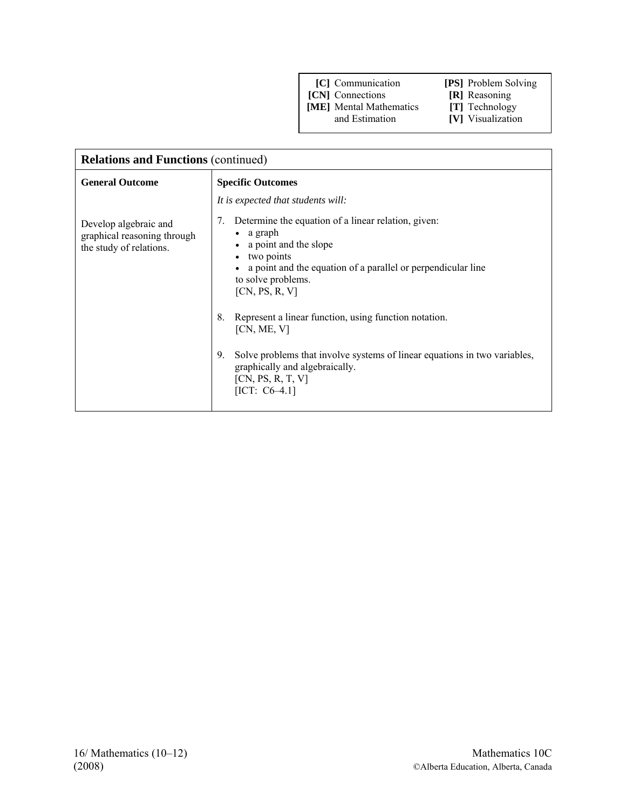**[CN]** Connections **[R]** Reasoning **[ME]** Mental Mathematics **[T]** Technology **[ME]** Mental Mathematics and Estimation

| <b>Relations and Functions (continued)</b>                                      |                                                                                                                                                                                                                                                                                                                                                                                                                                                                                                       |  |
|---------------------------------------------------------------------------------|-------------------------------------------------------------------------------------------------------------------------------------------------------------------------------------------------------------------------------------------------------------------------------------------------------------------------------------------------------------------------------------------------------------------------------------------------------------------------------------------------------|--|
| <b>General Outcome</b>                                                          | <b>Specific Outcomes</b>                                                                                                                                                                                                                                                                                                                                                                                                                                                                              |  |
|                                                                                 | It is expected that students will:                                                                                                                                                                                                                                                                                                                                                                                                                                                                    |  |
| Develop algebraic and<br>graphical reasoning through<br>the study of relations. | Determine the equation of a linear relation, given:<br>7.<br>a graph<br>$\bullet$<br>a point and the slope<br>$\bullet$<br>two points<br>$\bullet$<br>a point and the equation of a parallel or perpendicular line<br>to solve problems.<br>[CN, PS, R, V]<br>Represent a linear function, using function notation.<br>8.<br>[CN, ME, V]<br>Solve problems that involve systems of linear equations in two variables,<br>9.<br>graphically and algebraically.<br>[CN, PS, R, T, V]<br>$[ICT: C6-4.1]$ |  |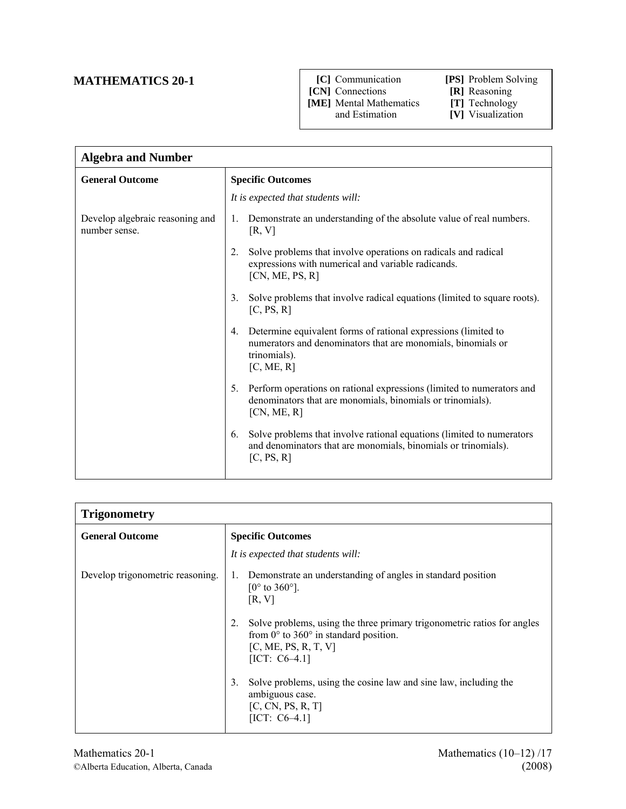## **MATHEMATICS 20-1**

- **THE EXECT COMMUNICATE:**<br> **CNJ Connections**<br> **IRJ Reasoning**<br> **IRJ Reasoning**<br> **IRJ Reasoning**<br> **IRJ Reasoning [CN]** Connections
- **[ME]** Mental Mathematics and Estimation

| <b>Algebra and Number</b>                        |                                                                                                                                                                    |  |
|--------------------------------------------------|--------------------------------------------------------------------------------------------------------------------------------------------------------------------|--|
| <b>General Outcome</b>                           | <b>Specific Outcomes</b>                                                                                                                                           |  |
|                                                  | It is expected that students will:                                                                                                                                 |  |
| Develop algebraic reasoning and<br>number sense. | Demonstrate an understanding of the absolute value of real numbers.<br>1.<br>[R, V]                                                                                |  |
|                                                  | Solve problems that involve operations on radicals and radical<br>2.<br>expressions with numerical and variable radicands.<br>[CN, ME, PS, R]                      |  |
|                                                  | Solve problems that involve radical equations (limited to square roots).<br>3.<br>[C, PS, R]                                                                       |  |
|                                                  | Determine equivalent forms of rational expressions (limited to<br>4.<br>numerators and denominators that are monomials, binomials or<br>trinomials).<br>[C, ME, R] |  |
|                                                  | Perform operations on rational expressions (limited to numerators and<br>5.<br>denominators that are monomials, binomials or trinomials).<br>[CN, ME, R]           |  |
|                                                  | Solve problems that involve rational equations (limited to numerators<br>6.<br>and denominators that are monomials, binomials or trinomials).<br>[C, PS, R]        |  |

| <b>Trigonometry</b>              |                                                                                                                                                                            |  |
|----------------------------------|----------------------------------------------------------------------------------------------------------------------------------------------------------------------------|--|
| <b>General Outcome</b>           | <b>Specific Outcomes</b>                                                                                                                                                   |  |
|                                  | It is expected that students will:                                                                                                                                         |  |
| Develop trigonometric reasoning. | Demonstrate an understanding of angles in standard position<br>1.<br>$[0^{\circ}$ to 360°].<br>[R, V]                                                                      |  |
|                                  | Solve problems, using the three primary trigonometric ratios for angles<br>2.<br>from $0^{\circ}$ to 360° in standard position.<br>[C, ME, PS, R, T, V]<br>$[ICT: C6-4.1]$ |  |
|                                  | Solve problems, using the cosine law and sine law, including the<br>3.<br>ambiguous case.<br>[C, CN, PS, R, T]<br>$[ICT: C6-4.1]$                                          |  |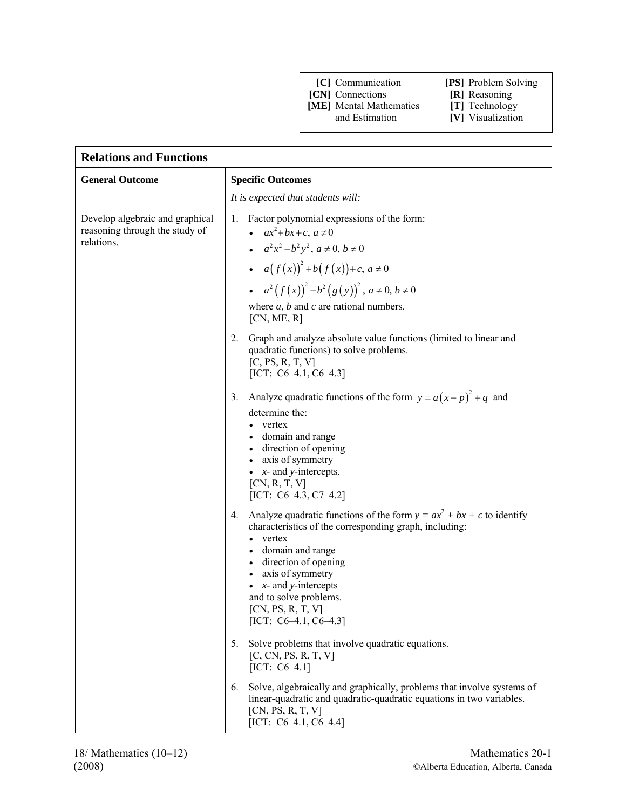- **[CN]** Connections **[R]** Reasoning
- **[ME]** Mental Mathematics **[T]** Technology and Estimation **[V]** Visualization

- 
- **[V]** Visualization

| <b>Relations and Functions</b>                                                  |                                                                                                                                                                                                                                                                                                                                           |  |
|---------------------------------------------------------------------------------|-------------------------------------------------------------------------------------------------------------------------------------------------------------------------------------------------------------------------------------------------------------------------------------------------------------------------------------------|--|
| <b>General Outcome</b>                                                          | <b>Specific Outcomes</b>                                                                                                                                                                                                                                                                                                                  |  |
|                                                                                 | It is expected that students will:                                                                                                                                                                                                                                                                                                        |  |
| Develop algebraic and graphical<br>reasoning through the study of<br>relations. | Factor polynomial expressions of the form:<br>1.<br>• $ax^2+bx+c, a\neq 0$<br>• $a^2x^2-b^2y^2$ , $a \ne 0$ , $b \ne 0$<br>• $a(f(x))^{2}+b(f(x))+c, a\neq 0$<br>• $a^2 (f(x))^2 - b^2 (g(y))^2$ , $a \ne 0, b \ne 0$<br>where $a, b$ and $c$ are rational numbers.<br>[CN, ME, R]                                                        |  |
|                                                                                 | Graph and analyze absolute value functions (limited to linear and<br>2.<br>quadratic functions) to solve problems.<br>[C, PS, R, T, V]<br>[ICT: $C6-4.1$ , $C6-4.3$ ]                                                                                                                                                                     |  |
|                                                                                 | Analyze quadratic functions of the form $y = a(x-p)^2 + q$ and<br>3.<br>determine the:<br>vertex<br>domain and range<br>• direction of opening<br>axis of symmetry<br>$\bullet$ <i>x</i> - and <i>y</i> -intercepts.<br>[CN, R, T, V]<br>[ICT: $C6-4.3$ , $C7-4.2$ ]                                                                      |  |
|                                                                                 | Analyze quadratic functions of the form $y = ax^2 + bx + c$ to identify<br>4.<br>characteristics of the corresponding graph, including:<br>• vertex<br>• domain and range<br>• direction of opening<br>axis of symmetry<br>$\bullet$<br>$x$ - and y-intercepts<br>and to solve problems.<br>[CN, PS, R, T, V]<br>[ICT: $C6-4.1, C6-4.3$ ] |  |
|                                                                                 | Solve problems that involve quadratic equations.<br>5.<br>[C, CN, PS, R, T, V]<br>[ICT: $C6-4.1$ ]                                                                                                                                                                                                                                        |  |
|                                                                                 | Solve, algebraically and graphically, problems that involve systems of<br>6.<br>linear-quadratic and quadratic-quadratic equations in two variables.<br>[CN, PS, R, T, V]<br>[ICT: $C6-4.1$ , $C6-4.4$ ]                                                                                                                                  |  |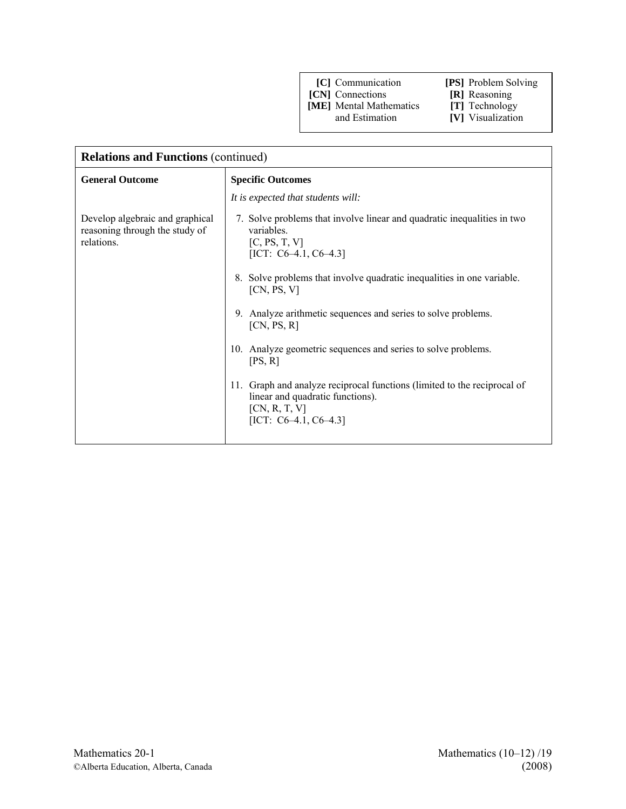**[CN]** Connections **[R]** Reasoning

**[ME]** Mental Mathematics **[T]** Technology and Estimation **[V]** Visualization

| <b>Relations and Functions (continued)</b>                                      |                                                                                                                                                              |  |
|---------------------------------------------------------------------------------|--------------------------------------------------------------------------------------------------------------------------------------------------------------|--|
| <b>General Outcome</b>                                                          | <b>Specific Outcomes</b>                                                                                                                                     |  |
|                                                                                 | It is expected that students will:                                                                                                                           |  |
| Develop algebraic and graphical<br>reasoning through the study of<br>relations. | 7. Solve problems that involve linear and quadratic inequalities in two<br>variables.<br>[C, PS, T, V]<br>[ICT: $C6-4.1$ , $C6-4.3$ ]                        |  |
|                                                                                 | 8. Solve problems that involve quadratic inequalities in one variable.<br>[CN, PS, V]                                                                        |  |
|                                                                                 | 9. Analyze arithmetic sequences and series to solve problems.<br>[CN, PS, R]                                                                                 |  |
|                                                                                 | 10. Analyze geometric sequences and series to solve problems.<br>[PS, R]                                                                                     |  |
|                                                                                 | 11. Graph and analyze reciprocal functions (limited to the reciprocal of<br>linear and quadratic functions).<br>[CN, R, T, V]<br>[ICT: $C6-4.1$ , $C6-4.3$ ] |  |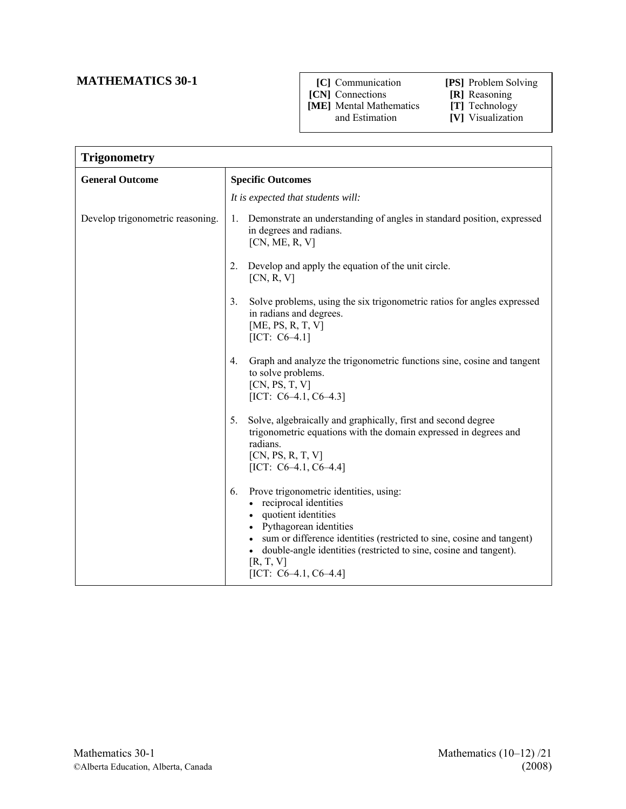## **MATHEMATICS 30-1**

 **[C]** Communication **[PS]** Problem Solving

 **[CN]** Connections **[R]** Reasoning

**[ME]** Mental Mathematics **[T]** Technology and Estimation **[V]** Visualization

- - **[V]** Visualization

| <b>Trigonometry</b>              |                                                                                                                                                                                                                                                                                                                          |  |
|----------------------------------|--------------------------------------------------------------------------------------------------------------------------------------------------------------------------------------------------------------------------------------------------------------------------------------------------------------------------|--|
| <b>General Outcome</b>           | <b>Specific Outcomes</b>                                                                                                                                                                                                                                                                                                 |  |
|                                  | It is expected that students will:                                                                                                                                                                                                                                                                                       |  |
| Develop trigonometric reasoning. | Demonstrate an understanding of angles in standard position, expressed<br>1.<br>in degrees and radians.<br>[CN, ME, R, V]                                                                                                                                                                                                |  |
|                                  | Develop and apply the equation of the unit circle.<br>2.<br>[CN, R, V]                                                                                                                                                                                                                                                   |  |
|                                  | Solve problems, using the six trigonometric ratios for angles expressed<br>3 <sub>1</sub><br>in radians and degrees.<br>[ME, PS, R, T, V]<br>[ICT: $C6-4.1$ ]                                                                                                                                                            |  |
|                                  | Graph and analyze the trigonometric functions sine, cosine and tangent<br>4 <sub>1</sub><br>to solve problems.<br>[CN, PS, T, V]<br>[ICT: $C6-4.1$ , $C6-4.3$ ]                                                                                                                                                          |  |
|                                  | Solve, algebraically and graphically, first and second degree<br>5 <sub>1</sub><br>trigonometric equations with the domain expressed in degrees and<br>radians.<br>[CN, PS, R, T, V]<br>[ICT: $C6-4.1$ , $C6-4.4$ ]                                                                                                      |  |
|                                  | Prove trigonometric identities, using:<br>6.<br>• reciprocal identities<br>• quotient identities<br>• Pythagorean identities<br>• sum or difference identities (restricted to sine, cosine and tangent)<br>double-angle identities (restricted to sine, cosine and tangent).<br>[R, T, V]<br>[ICT: $C6-4.1$ , $C6-4.4$ ] |  |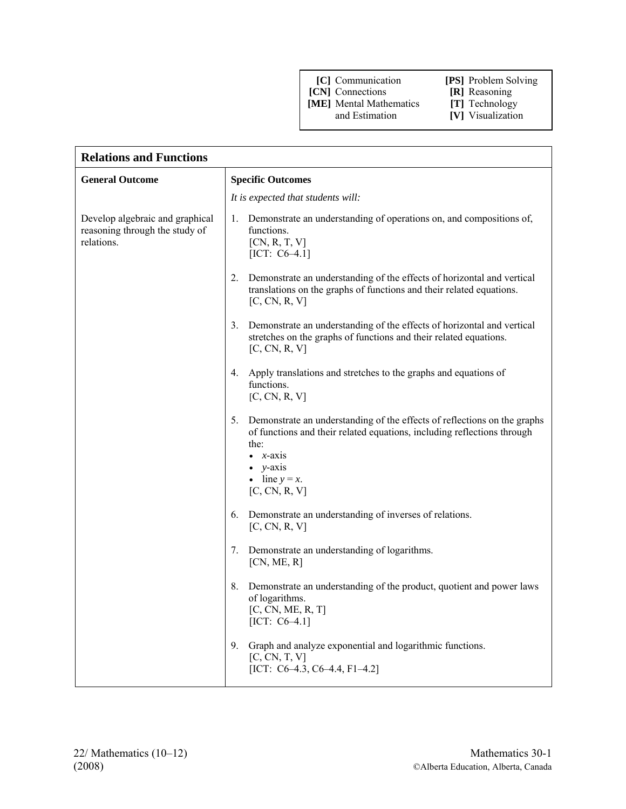- **[CN]** Connections **[R]** Reasoning<br> **[ME]** Mental Mathematics **[T]** Technology
- **[ME]** Mental Mathematics and Estimation

- 
- **[V]** Visualization

| <b>Relations and Functions</b>                                                  |                                                                                                                                                                                                                                                 |  |
|---------------------------------------------------------------------------------|-------------------------------------------------------------------------------------------------------------------------------------------------------------------------------------------------------------------------------------------------|--|
| <b>General Outcome</b>                                                          | <b>Specific Outcomes</b>                                                                                                                                                                                                                        |  |
|                                                                                 | It is expected that students will:                                                                                                                                                                                                              |  |
| Develop algebraic and graphical<br>reasoning through the study of<br>relations. | Demonstrate an understanding of operations on, and compositions of,<br>1.<br>functions.<br>[CN, R, T, V]<br>[ICT: $C6-4.1$ ]                                                                                                                    |  |
|                                                                                 | Demonstrate an understanding of the effects of horizontal and vertical<br>2.<br>translations on the graphs of functions and their related equations.<br>[C, CN, R, V]                                                                           |  |
|                                                                                 | Demonstrate an understanding of the effects of horizontal and vertical<br>3.<br>stretches on the graphs of functions and their related equations.<br>[C, CN, R, V]                                                                              |  |
|                                                                                 | Apply translations and stretches to the graphs and equations of<br>4.<br>functions.<br>[C, CN, R, V]                                                                                                                                            |  |
|                                                                                 | Demonstrate an understanding of the effects of reflections on the graphs<br>5.<br>of functions and their related equations, including reflections through<br>the:<br>$x$ -axis<br>$\bullet$ y-axis<br>$\bullet$ line $y = x$ .<br>[C, CN, R, V] |  |
|                                                                                 | Demonstrate an understanding of inverses of relations.<br>6.<br>[C, CN, R, V]                                                                                                                                                                   |  |
|                                                                                 | Demonstrate an understanding of logarithms.<br>7.<br>[CN, ME, R]                                                                                                                                                                                |  |
|                                                                                 | Demonstrate an understanding of the product, quotient and power laws<br>8.<br>of logarithms.<br>[C, CN, ME, R, T]<br>$[ICT: C6-4.1]$                                                                                                            |  |
|                                                                                 | Graph and analyze exponential and logarithmic functions.<br>9.<br>[C, CN, T, V]<br>[ICT: $C6-4.3$ , $C6-4.4$ , $F1-4.2$ ]                                                                                                                       |  |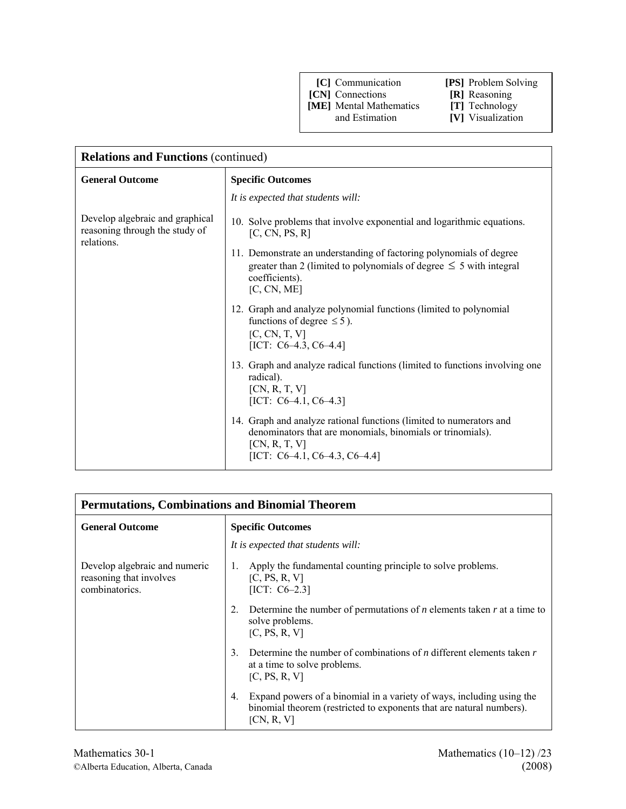- **[CN]** Connections **[R]** Reasoning
- **[ME]** Mental Mathematics **[T]** Technology and Estimation **[V]** Visualization
	-
- 
- **[V]** Visualization

| <b>Relations and Functions (continued)</b>                                      |                                                                                                                                                                                              |
|---------------------------------------------------------------------------------|----------------------------------------------------------------------------------------------------------------------------------------------------------------------------------------------|
| <b>General Outcome</b>                                                          | <b>Specific Outcomes</b>                                                                                                                                                                     |
|                                                                                 | It is expected that students will:                                                                                                                                                           |
| Develop algebraic and graphical<br>reasoning through the study of<br>relations. | 10. Solve problems that involve exponential and logarithmic equations.<br>[C, CN, PS, R]                                                                                                     |
|                                                                                 | 11. Demonstrate an understanding of factoring polynomials of degree<br>greater than 2 (limited to polynomials of degree $\leq$ 5 with integral<br>coefficients).<br>[C, CN, ME]              |
|                                                                                 | 12. Graph and analyze polynomial functions (limited to polynomial<br>functions of degree $\leq$ 5).<br>[C, CN, T, V]<br>[ICT: $C6-4.3$ , $C6-4.4$ ]                                          |
|                                                                                 | 13. Graph and analyze radical functions (limited to functions involving one<br>radical).<br>[CN, R, T, V]<br>[ICT: $C6-4.1$ , $C6-4.3$ ]                                                     |
|                                                                                 | 14. Graph and analyze rational functions (limited to numerators and<br>denominators that are monomials, binomials or trinomials).<br>[CN, R, T, V]<br>[ICT: $C6-4.1$ , $C6-4.3$ , $C6-4.4$ ] |

| <b>Permutations, Combinations and Binomial Theorem</b>                     |                                                                                                                                                                                                         |
|----------------------------------------------------------------------------|---------------------------------------------------------------------------------------------------------------------------------------------------------------------------------------------------------|
| <b>General Outcome</b>                                                     | <b>Specific Outcomes</b>                                                                                                                                                                                |
|                                                                            | It is expected that students will:                                                                                                                                                                      |
| Develop algebraic and numeric<br>reasoning that involves<br>combinatorics. | Apply the fundamental counting principle to solve problems.<br>$\mathbf{1}$ .<br>[C, PS, R, V]<br>[ICT: $C6-2.3$ ]<br>Determine the number of permutations of $n$ elements taken $r$ at a time to<br>2. |
|                                                                            | solve problems.<br>[C, PS, R, V]                                                                                                                                                                        |
|                                                                            | Determine the number of combinations of <i>n</i> different elements taken $r$<br>$\mathcal{E}$<br>at a time to solve problems.<br>[C, PS, R, V]                                                         |
|                                                                            | Expand powers of a binomial in a variety of ways, including using the<br>4.<br>binomial theorem (restricted to exponents that are natural numbers).<br>[CN, R, V]                                       |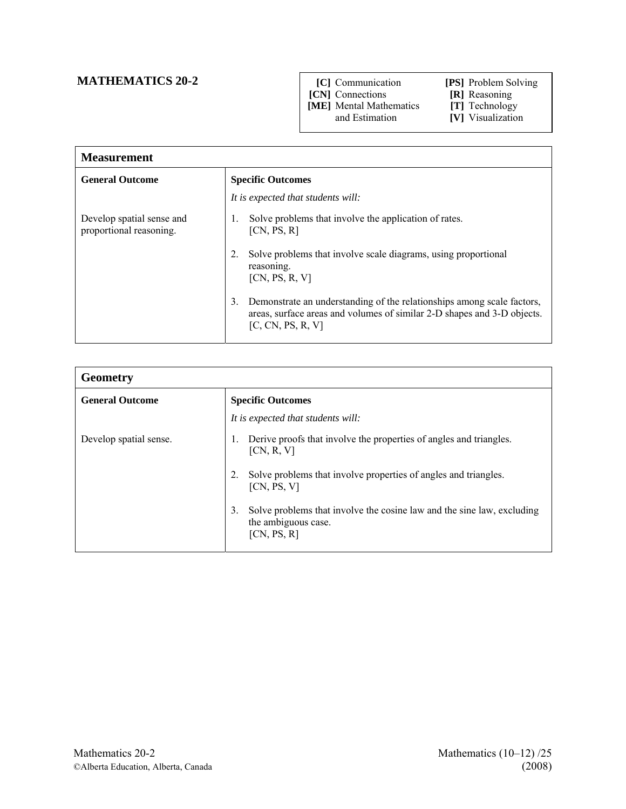## **MATHEMATICS 20-2 [C]** Communication **[PS]** Problem Solving

 **[CN]** Connections **[R]** Reasoning

**[ME]** Mental Mathematics **[T]** Technology and Estimation **[V]** Visualization

| <b>Measurement</b>                                   |                                                                                                                                                                              |
|------------------------------------------------------|------------------------------------------------------------------------------------------------------------------------------------------------------------------------------|
| <b>General Outcome</b>                               | <b>Specific Outcomes</b>                                                                                                                                                     |
|                                                      | It is expected that students will:                                                                                                                                           |
| Develop spatial sense and<br>proportional reasoning. | Solve problems that involve the application of rates.<br>Ι.<br>[CN, PS, R]                                                                                                   |
|                                                      | Solve problems that involve scale diagrams, using proportional<br>reasoning.<br>[CN, PS, R, V]                                                                               |
|                                                      | Demonstrate an understanding of the relationships among scale factors,<br>3.<br>areas, surface areas and volumes of similar 2-D shapes and 3-D objects.<br>[C, CN, PS, R, V] |

| <b>Geometry</b>        |                                                                                                                    |
|------------------------|--------------------------------------------------------------------------------------------------------------------|
| <b>General Outcome</b> | <b>Specific Outcomes</b>                                                                                           |
|                        | It is expected that students will:                                                                                 |
| Develop spatial sense. | Derive proofs that involve the properties of angles and triangles.<br>[CN, R, V]                                   |
|                        | Solve problems that involve properties of angles and triangles.<br>[CN, PS, V]                                     |
|                        | Solve problems that involve the cosine law and the sine law, excluding<br>3.<br>the ambiguous case.<br>[CN, PS, R] |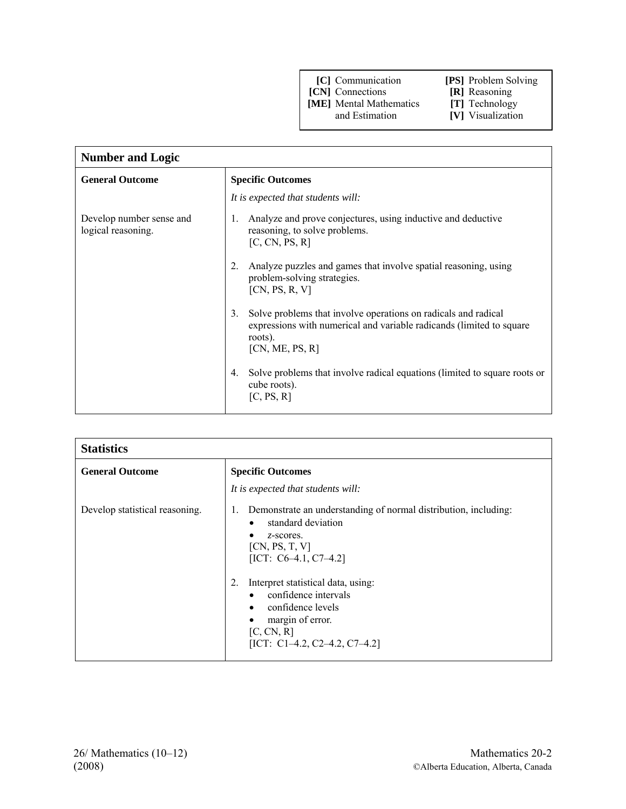- 
- **[CN]** Connections **[R]** Reasoning<br> **[ME]** Mental Mathematics **[T]** Technology **[ME]** Mental Mathematics and Estimation

| <b>Number and Logic</b>                        |                                                                                                                                                                            |
|------------------------------------------------|----------------------------------------------------------------------------------------------------------------------------------------------------------------------------|
| <b>General Outcome</b>                         | <b>Specific Outcomes</b>                                                                                                                                                   |
|                                                | It is expected that students will:                                                                                                                                         |
| Develop number sense and<br>logical reasoning. | Analyze and prove conjectures, using inductive and deductive<br>1.<br>reasoning, to solve problems.<br>[C, CN, PS, R]                                                      |
|                                                | Analyze puzzles and games that involve spatial reasoning, using<br>problem-solving strategies.<br>[CN, PS, R, V]                                                           |
|                                                | Solve problems that involve operations on radicals and radical<br>3.<br>expressions with numerical and variable radicands (limited to square<br>roots).<br>[CN, ME, PS, R] |
|                                                | Solve problems that involve radical equations (limited to square roots or<br>4.<br>cube roots).<br>[C, PS, R]                                                              |

| <b>Statistics</b>              |                                                                                                                                                                                    |
|--------------------------------|------------------------------------------------------------------------------------------------------------------------------------------------------------------------------------|
| <b>General Outcome</b>         | <b>Specific Outcomes</b>                                                                                                                                                           |
|                                | It is expected that students will:                                                                                                                                                 |
| Develop statistical reasoning. | Demonstrate an understanding of normal distribution, including:<br>Ι.<br>standard deviation<br>z-scores.<br>[CN, PS, T, V]<br>[ICT: $C6-4.1$ , $C7-4.2$ ]                          |
|                                | Interpret statistical data, using:<br>2.<br>confidence intervals<br>$\bullet$<br>confidence levels<br>$\bullet$<br>margin of error.<br>[C, CN, R]<br>[ICT: C1-4.2, C2-4.2, C7-4.2] |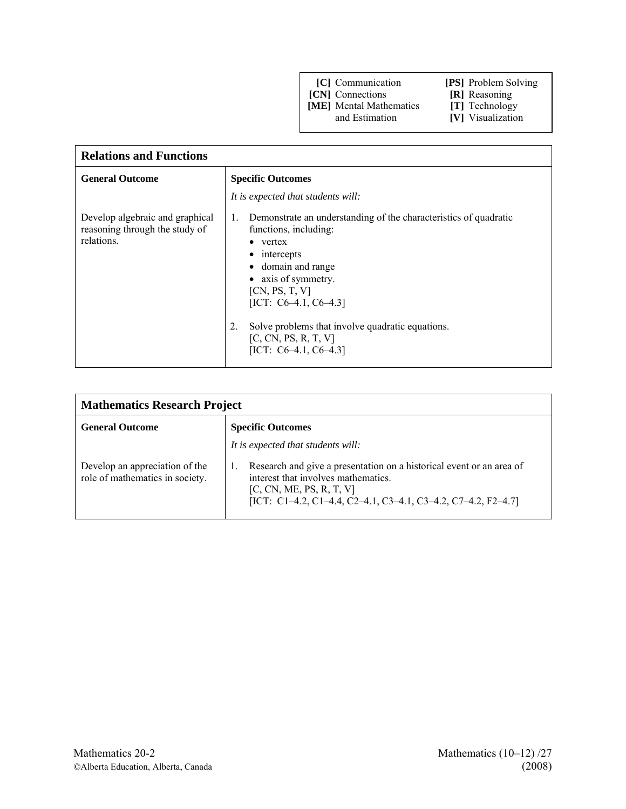**[CN]** Connections **[R]** Reasoning

**[ME]** Mental Mathematics **[T]** Technology and Estimation **[V]** Visualization

- 
- 
- **[V]** Visualization

| <b>Relations and Functions</b>                                                  |                                                                                                                                                                                                                                                                                                                                                                        |
|---------------------------------------------------------------------------------|------------------------------------------------------------------------------------------------------------------------------------------------------------------------------------------------------------------------------------------------------------------------------------------------------------------------------------------------------------------------|
| <b>General Outcome</b>                                                          | <b>Specific Outcomes</b>                                                                                                                                                                                                                                                                                                                                               |
|                                                                                 | It is expected that students will:                                                                                                                                                                                                                                                                                                                                     |
| Develop algebraic and graphical<br>reasoning through the study of<br>relations. | Demonstrate an understanding of the characteristics of quadratic<br>$\mathbf{1}$ .<br>functions, including:<br>$\bullet$ vertex<br>$\bullet$ intercepts<br>• domain and range<br>• axis of symmetry.<br>[CN, PS, T, V]<br>[ICT: $C6-4.1$ , $C6-4.3$ ]<br>Solve problems that involve quadratic equations.<br>2.<br>[C, CN, PS, R, T, V]<br>[ICT: $C6-4.1$ , $C6-4.3$ ] |

| <b>Mathematics Research Project</b>                               |                                                                                                                                                                                                                                                |
|-------------------------------------------------------------------|------------------------------------------------------------------------------------------------------------------------------------------------------------------------------------------------------------------------------------------------|
| <b>General Outcome</b>                                            | <b>Specific Outcomes</b>                                                                                                                                                                                                                       |
| Develop an appreciation of the<br>role of mathematics in society. | It is expected that students will:<br>Research and give a presentation on a historical event or an area of<br>interest that involves mathematics.<br>[C, CN, ME, PS, R, T, V]<br>[ICT: C1-4.2, C1-4.4, C2-4.1, C3-4.1, C3-4.2, C7-4.2, F2-4.7] |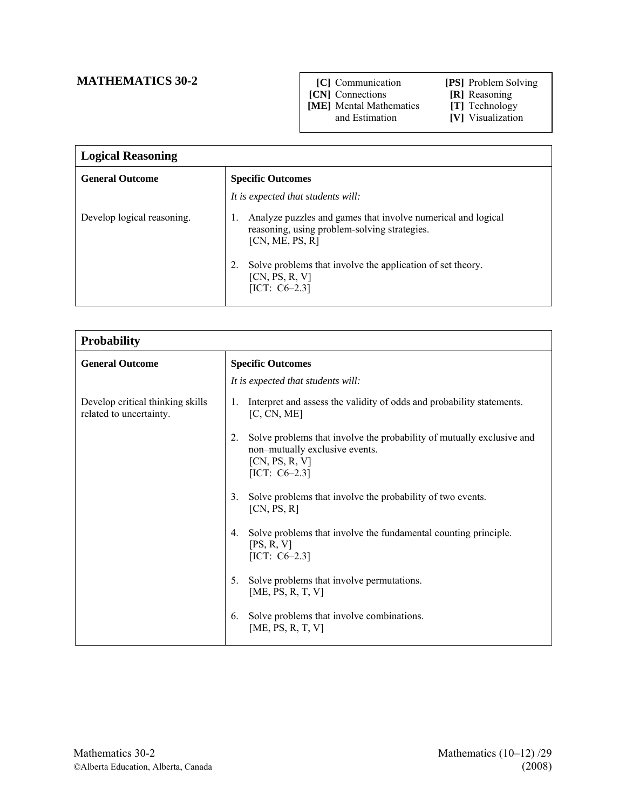## **MATHEMATICS 30-2**

- **[C]** Communication **[PS]** Problem Solving
	-
- **[CN]** Connections **[R]** Reasoning

**[ME]** Mental Mathematics **[T]** Technology and Estimation **[V]** Visualization

| <b>Logical Reasoning</b>   |                                                                                                                                 |
|----------------------------|---------------------------------------------------------------------------------------------------------------------------------|
| <b>General Outcome</b>     | <b>Specific Outcomes</b>                                                                                                        |
|                            | It is expected that students will:                                                                                              |
| Develop logical reasoning. | Analyze puzzles and games that involve numerical and logical<br>reasoning, using problem-solving strategies.<br>[CN, ME, PS, R] |
|                            | Solve problems that involve the application of set theory.<br>[CN, PS, R, V]<br>$[ICT: C6-2.3]$                                 |

| <b>Probability</b>                                          |                                                                                                                                                     |
|-------------------------------------------------------------|-----------------------------------------------------------------------------------------------------------------------------------------------------|
| <b>General Outcome</b>                                      | <b>Specific Outcomes</b>                                                                                                                            |
|                                                             | It is expected that students will:                                                                                                                  |
| Develop critical thinking skills<br>related to uncertainty. | Interpret and assess the validity of odds and probability statements.<br>1.<br>[C, CN, ME]                                                          |
|                                                             | Solve problems that involve the probability of mutually exclusive and<br>2.<br>non-mutually exclusive events.<br>[CN, PS, R, V]<br>[ICT: $C6-2.3$ ] |
|                                                             | Solve problems that involve the probability of two events.<br>3 <sub>1</sub><br>[CN, PS, R]                                                         |
|                                                             | Solve problems that involve the fundamental counting principle.<br>$4_{\cdot}$<br>[PS, R, V]<br>[ICT: $C6-2.3$ ]                                    |
|                                                             | Solve problems that involve permutations.<br>5.<br>[ME, PS, R, T, V]                                                                                |
|                                                             | Solve problems that involve combinations.<br>6.<br>[ME, PS, R, T, V]                                                                                |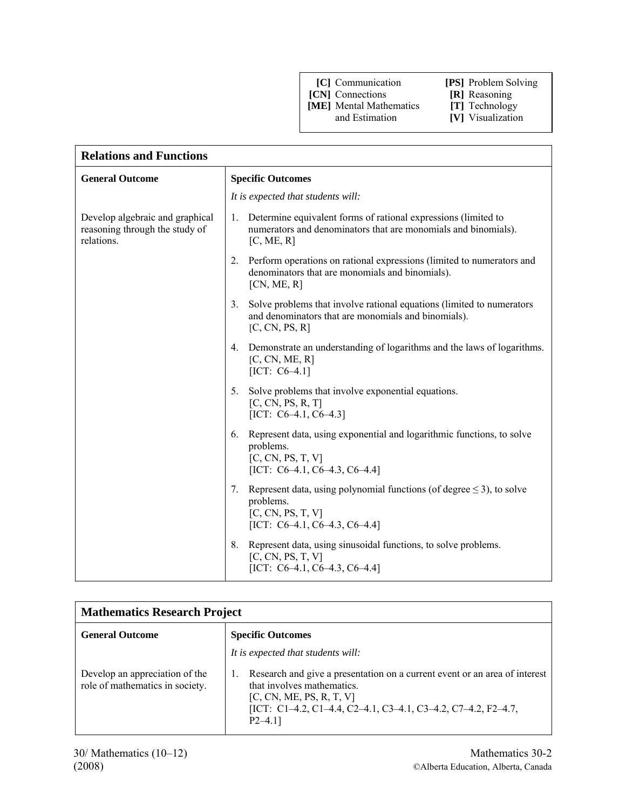- **[CN]** Connections **[R]** Reasoning
- **[ME]** Mental Mathematics **[T]** Technology and Estimation **[V]** Visualization
- 
- **[V]** Visualization

| <b>Relations and Functions</b>                                                  |                                                                                                                                                             |
|---------------------------------------------------------------------------------|-------------------------------------------------------------------------------------------------------------------------------------------------------------|
| <b>General Outcome</b>                                                          | <b>Specific Outcomes</b>                                                                                                                                    |
|                                                                                 | It is expected that students will:                                                                                                                          |
| Develop algebraic and graphical<br>reasoning through the study of<br>relations. | Determine equivalent forms of rational expressions (limited to<br>1.<br>numerators and denominators that are monomials and binomials).<br>[C, ME, R]        |
|                                                                                 | Perform operations on rational expressions (limited to numerators and<br>2.<br>denominators that are monomials and binomials).<br>[CN, ME, R]               |
|                                                                                 | 3.<br>Solve problems that involve rational equations (limited to numerators<br>and denominators that are monomials and binomials).<br>[C, CN, PS, R]        |
|                                                                                 | Demonstrate an understanding of logarithms and the laws of logarithms.<br>4.<br>[C, CN, ME, R]<br>$[ICT: C6-4.1]$                                           |
|                                                                                 | 5 <sub>1</sub><br>Solve problems that involve exponential equations.<br>[C, CN, PS, R, T]<br>[ICT: $C6-4.1$ , $C6-4.3$ ]                                    |
|                                                                                 | Represent data, using exponential and logarithmic functions, to solve<br>6.<br>problems.<br>[C, CN, PS, T, V]<br>[ICT: $C6-4.1$ , $C6-4.3$ , $C6-4.4$ ]     |
|                                                                                 | Represent data, using polynomial functions (of degree $\leq$ 3), to solve<br>7.<br>problems.<br>[C, CN, PS, T, V]<br>[ICT: $C6-4.1$ , $C6-4.3$ , $C6-4.4$ ] |
|                                                                                 | Represent data, using sinusoidal functions, to solve problems.<br>8.<br>[C, CN, PS, T, V]<br>[ICT: $C6-4.1$ , $C6-4.3$ , $C6-4.4$ ]                         |

| <b>Mathematics Research Project</b>                               |                                                                                                                                                                                                                                                            |
|-------------------------------------------------------------------|------------------------------------------------------------------------------------------------------------------------------------------------------------------------------------------------------------------------------------------------------------|
| <b>General Outcome</b>                                            | <b>Specific Outcomes</b>                                                                                                                                                                                                                                   |
| Develop an appreciation of the<br>role of mathematics in society. | It is expected that students will:<br>Research and give a presentation on a current event or an area of interest<br>that involves mathematics.<br>[C, CN, ME, PS, R, T, V]<br>[ICT: C1-4.2, C1-4.4, C2-4.1, C3-4.1, C3-4.2, C7-4.2, F2-4.7,<br>$P2 - 4.11$ |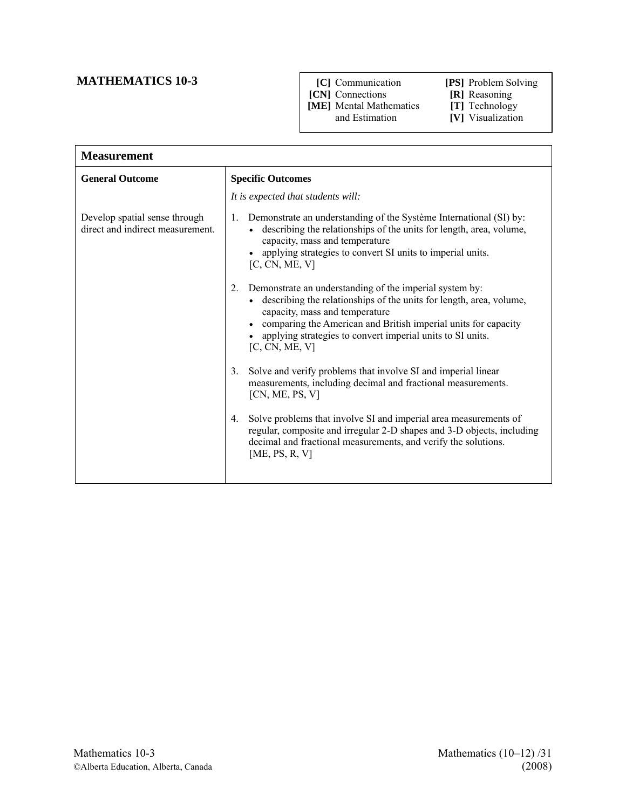## **MATHEMATICS 10-3**

- **[C]** Communication **[PS]** Problem Solving
	- -
- **[CN]** Connections **[R]** Reasoning **[ME]** Mental Mathematics and Estimation
- 
- **[V]** Visualization
- 

| <b>Measurement</b>                                                |                                                                                                                                                                                                                                                                                                                              |
|-------------------------------------------------------------------|------------------------------------------------------------------------------------------------------------------------------------------------------------------------------------------------------------------------------------------------------------------------------------------------------------------------------|
| <b>General Outcome</b>                                            | <b>Specific Outcomes</b>                                                                                                                                                                                                                                                                                                     |
|                                                                   | It is expected that students will:                                                                                                                                                                                                                                                                                           |
| Develop spatial sense through<br>direct and indirect measurement. | Demonstrate an understanding of the Système International (SI) by:<br>1.<br>• describing the relationships of the units for length, area, volume,<br>capacity, mass and temperature<br>applying strategies to convert SI units to imperial units.<br>[C, CN, ME, V]                                                          |
|                                                                   | Demonstrate an understanding of the imperial system by:<br>2.<br>• describing the relationships of the units for length, area, volume,<br>capacity, mass and temperature<br>comparing the American and British imperial units for capacity<br>• applying strategies to convert imperial units to SI units.<br>[C, CN, ME, V] |
|                                                                   | Solve and verify problems that involve SI and imperial linear<br>3.<br>measurements, including decimal and fractional measurements.<br>[CN, ME, PS, V]                                                                                                                                                                       |
|                                                                   | Solve problems that involve SI and imperial area measurements of<br>4.<br>regular, composite and irregular 2-D shapes and 3-D objects, including<br>decimal and fractional measurements, and verify the solutions.<br>[ME, PS, R, V]                                                                                         |
|                                                                   |                                                                                                                                                                                                                                                                                                                              |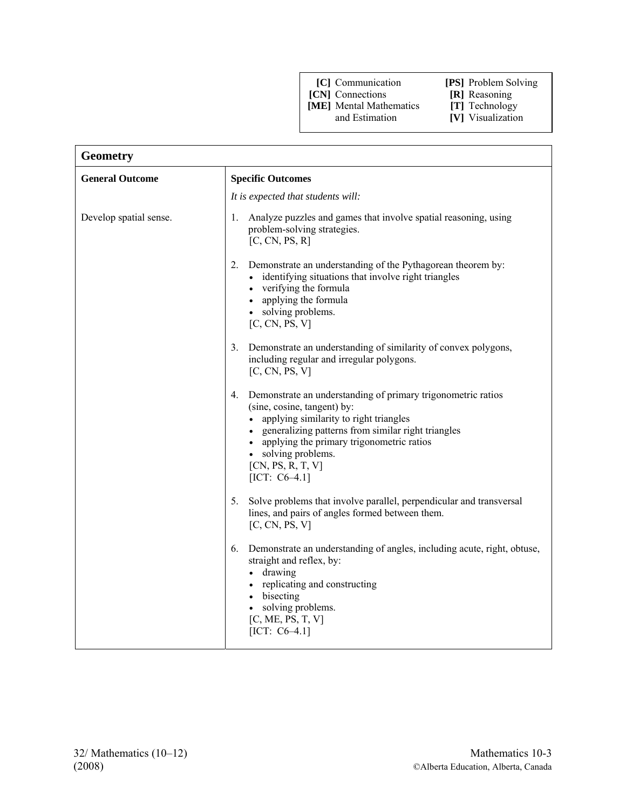**[CN]** Connections **[R]** Reasoning **[ME]** Mental Mathematics **[T]** Technology **[ME]** Mental Mathematics and Estimation

- 
- 
- **[V]** Visualization

| <b>Geometry</b>        |                                                                                                                                                                                                                                                                                                                     |
|------------------------|---------------------------------------------------------------------------------------------------------------------------------------------------------------------------------------------------------------------------------------------------------------------------------------------------------------------|
| <b>General Outcome</b> | <b>Specific Outcomes</b>                                                                                                                                                                                                                                                                                            |
|                        | It is expected that students will:                                                                                                                                                                                                                                                                                  |
| Develop spatial sense. | Analyze puzzles and games that involve spatial reasoning, using<br>1.<br>problem-solving strategies.<br>[C, CN, PS, R]                                                                                                                                                                                              |
|                        | 2.<br>Demonstrate an understanding of the Pythagorean theorem by:<br>• identifying situations that involve right triangles<br>• verifying the formula<br>• applying the formula<br>• solving problems.<br>[C, CN, PS, V]                                                                                            |
|                        | 3.<br>Demonstrate an understanding of similarity of convex polygons,<br>including regular and irregular polygons.<br>[C, CN, PS, V]                                                                                                                                                                                 |
|                        | Demonstrate an understanding of primary trigonometric ratios<br>4.<br>(sine, cosine, tangent) by:<br>• applying similarity to right triangles<br>• generalizing patterns from similar right triangles<br>• applying the primary trigonometric ratios<br>• solving problems.<br>[CN, PS, R, T, V]<br>$[ICT: C6-4.1]$ |
|                        | Solve problems that involve parallel, perpendicular and transversal<br>5.<br>lines, and pairs of angles formed between them.<br>[C, CN, PS, V]                                                                                                                                                                      |
|                        | 6. Demonstrate an understanding of angles, including acute, right, obtuse,<br>straight and reflex, by:<br>• drawing<br>• replicating and constructing<br>• bisecting<br>solving problems.<br>[C, ME, PS, T, V]<br>$[ICT: C6-4.1]$                                                                                   |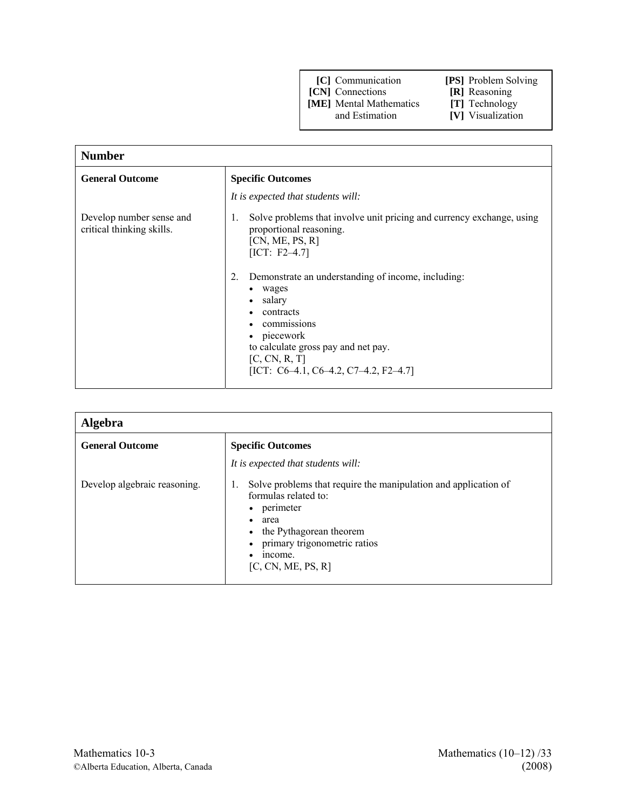- **[CN]** Connections **[R]** Reasoning<br> **[ME]** Mental Mathematics **[T]** Technology
- **[ME]** Mental Mathematics and Estimation

- 
- **[V]** Visualization

| <b>Number</b>                                         |                                                                                                                                                                                                                                                                                                                                                                                                  |
|-------------------------------------------------------|--------------------------------------------------------------------------------------------------------------------------------------------------------------------------------------------------------------------------------------------------------------------------------------------------------------------------------------------------------------------------------------------------|
| <b>General Outcome</b>                                | <b>Specific Outcomes</b>                                                                                                                                                                                                                                                                                                                                                                         |
|                                                       | It is expected that students will:                                                                                                                                                                                                                                                                                                                                                               |
| Develop number sense and<br>critical thinking skills. | Solve problems that involve unit pricing and currency exchange, using<br>1.<br>proportional reasoning.<br>[CN, ME, PS, R]<br>$[ICT: F2-4.7]$<br>Demonstrate an understanding of income, including:<br>2.<br>• wages<br>salary<br>contracts<br>commissions<br>piecework<br>$\bullet$<br>to calculate gross pay and net pay.<br>[C, CN, R, T]<br>[ICT: $C6-4.1$ , $C6-4.2$ , $C7-4.2$ , $F2-4.7$ ] |

| <b>Algebra</b>               |                                                                                                                                                                                                                                                            |
|------------------------------|------------------------------------------------------------------------------------------------------------------------------------------------------------------------------------------------------------------------------------------------------------|
| <b>General Outcome</b>       | <b>Specific Outcomes</b>                                                                                                                                                                                                                                   |
|                              | It is expected that students will:                                                                                                                                                                                                                         |
| Develop algebraic reasoning. | Solve problems that require the manipulation and application of<br>1.<br>formulas related to:<br>perimeter<br>٠<br>area<br>$\bullet$<br>the Pythagorean theorem<br>$\bullet$<br>primary trigonometric ratios<br>$\bullet$<br>income.<br>[C, CN, ME, PS, R] |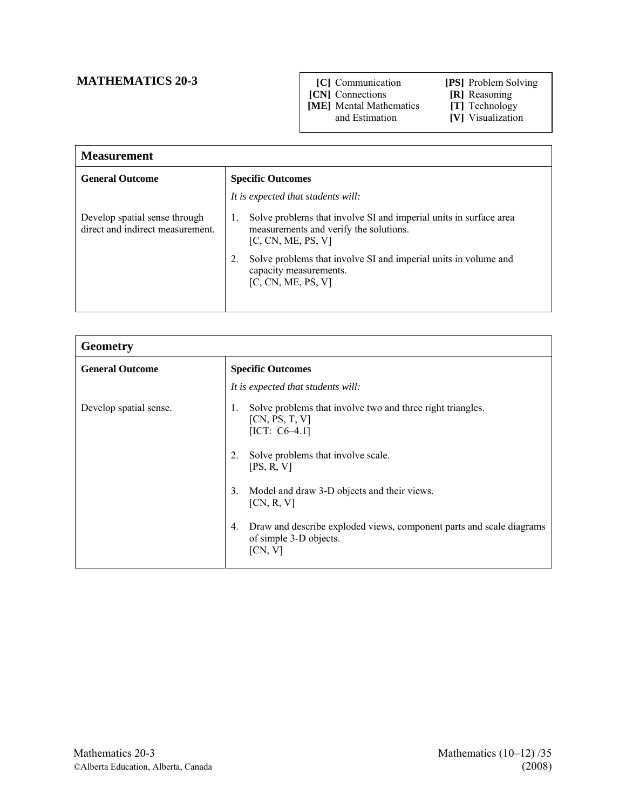## **MATHEMATICS 20-3**

#### **[C]** Communication **[PS]** Problem Solving

 **[CN]** Connections **[R]** Reasoning

**[ME]** Mental Mathematics **[T]** Technology

- **[V]** Visualization
- **Measurement** General Outcome Specific Outcomes *It is expected that students will:* Develop spatial sense through direct and indirect measurement. 1. Solve problems that involve SI and imperial units in surface area measurements and verify the solutions. [C, CN, ME, PS, V] 2. Solve problems that involve SI and imperial units in volume and capacity measurements.  $[C, CN, ME, PS, V]$

| <b>Geometry</b>        |                                                                                                                 |
|------------------------|-----------------------------------------------------------------------------------------------------------------|
| <b>General Outcome</b> | <b>Specific Outcomes</b>                                                                                        |
|                        | It is expected that students will:                                                                              |
| Develop spatial sense. | Solve problems that involve two and three right triangles.<br>1.<br>[CN, PS, T, V]<br>[ICT: $C6-4.1$ ]          |
|                        | Solve problems that involve scale.<br>2.<br>[PS, R, V]                                                          |
|                        | Model and draw 3-D objects and their views.<br>3.<br>[CN, R, V]                                                 |
|                        | Draw and describe exploded views, component parts and scale diagrams<br>4.<br>of simple 3-D objects.<br>[CN, V] |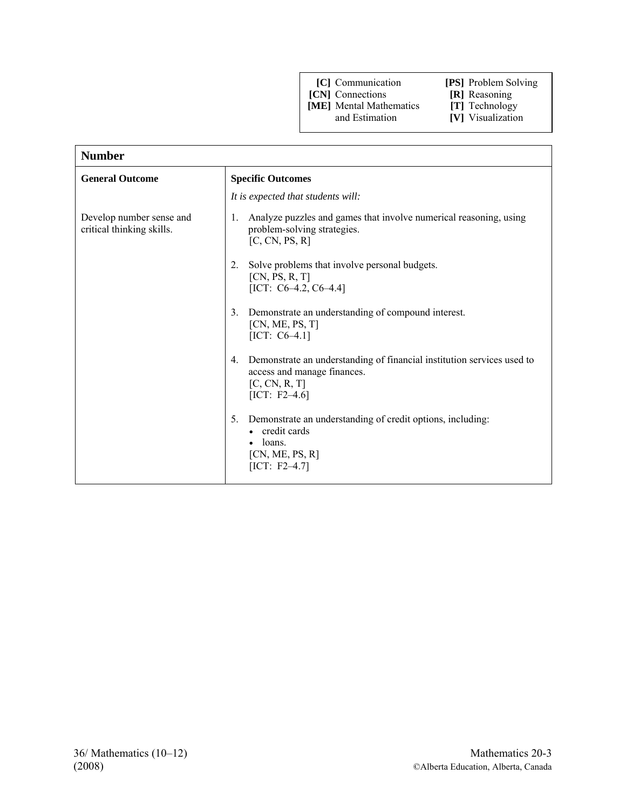- 
- **[CN]** Connections **[R]** Reasoning **[ME]** Mental Mathematics **[T]** Technology

**[ME]** Mental Mathematics and Estimation

- **[V]** Visualization
- 

| <b>Number</b>                                         |                                                                                                                                                  |
|-------------------------------------------------------|--------------------------------------------------------------------------------------------------------------------------------------------------|
| <b>General Outcome</b>                                | <b>Specific Outcomes</b>                                                                                                                         |
|                                                       | It is expected that students will:                                                                                                               |
| Develop number sense and<br>critical thinking skills. | Analyze puzzles and games that involve numerical reasoning, using<br>1.<br>problem-solving strategies.<br>[C, CN, PS, R]                         |
|                                                       | Solve problems that involve personal budgets.<br>2.<br>[CN, PS, R, T]<br>[ICT: $C6-4.2$ , $C6-4.4$ ]                                             |
|                                                       | Demonstrate an understanding of compound interest.<br>3.<br>[CN, ME, PS, T]<br>$[ICT: C6-4.1]$                                                   |
|                                                       | Demonstrate an understanding of financial institution services used to<br>4.<br>access and manage finances.<br>[C, CN, R, T]<br>[ICT: $F2-4.6$ ] |
|                                                       | Demonstrate an understanding of credit options, including:<br>5.<br>credit cards<br>loans.<br>[CN, ME, PS, R]<br>$[ICT: F2-4.7]$                 |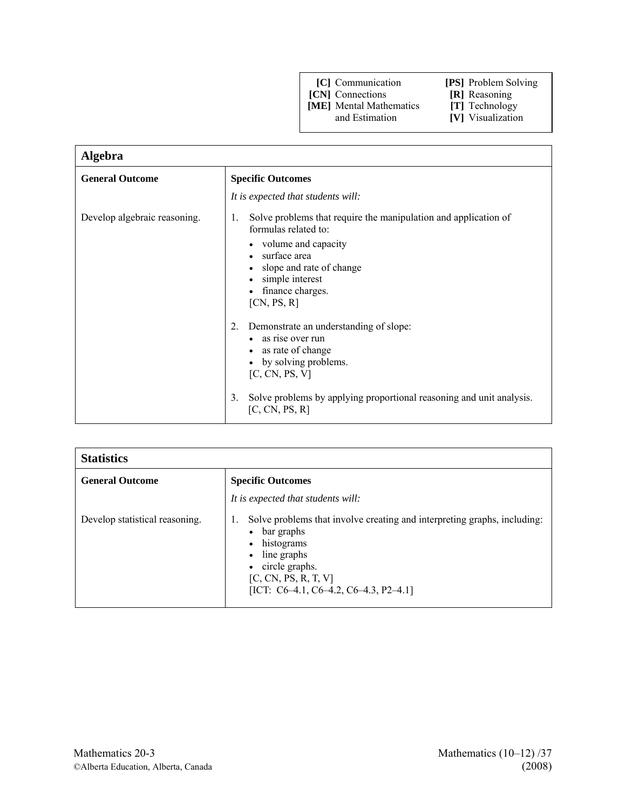**[CN]** Connections **[R]** Reasoning

**[ME]** Mental Mathematics **[T]** Technology

| Algebra                      |                                                                                                                                                                                                                                                                                                                                           |
|------------------------------|-------------------------------------------------------------------------------------------------------------------------------------------------------------------------------------------------------------------------------------------------------------------------------------------------------------------------------------------|
| <b>General Outcome</b>       | <b>Specific Outcomes</b>                                                                                                                                                                                                                                                                                                                  |
|                              | It is expected that students will:                                                                                                                                                                                                                                                                                                        |
| Develop algebraic reasoning. | Solve problems that require the manipulation and application of<br>1.<br>formulas related to:<br>volume and capacity<br>$\bullet$<br>surface area<br>slope and rate of change<br>simple interest<br>finance charges.<br>[CN, PS, R]<br>Demonstrate an understanding of slope:<br>2.<br>as rise over run<br>as rate of change<br>$\bullet$ |
|                              | by solving problems.<br>[C, CN, PS, V]                                                                                                                                                                                                                                                                                                    |
|                              | Solve problems by applying proportional reasoning and unit analysis.<br>3.<br>[C, CN, PS, R]                                                                                                                                                                                                                                              |

| <b>Statistics</b>              |                                                                                                                                                                                                                                                             |
|--------------------------------|-------------------------------------------------------------------------------------------------------------------------------------------------------------------------------------------------------------------------------------------------------------|
| <b>General Outcome</b>         | <b>Specific Outcomes</b>                                                                                                                                                                                                                                    |
|                                | It is expected that students will:                                                                                                                                                                                                                          |
| Develop statistical reasoning. | Solve problems that involve creating and interpreting graphs, including:<br>Ι.<br>$\bullet$ bar graphs<br>histograms<br>$\bullet$<br>line graphs<br>$\bullet$<br>• circle graphs.<br>[C, CN, PS, R, T, V]<br>[ICT: $C6-4.1$ , $C6-4.2$ , $C6-4.3$ , P2-4.1] |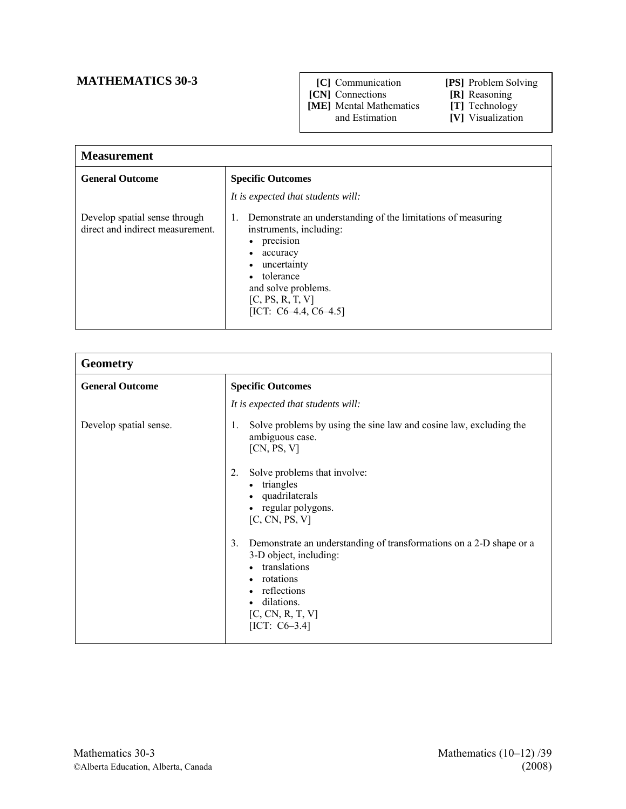## **MATHEMATICS 30-3**

- **[C]** Communication **[PS]** Problem Solving
	-
- **[CN]** Connections **[R]** Reasoning

**[ME]** Mental Mathematics **[T]** Technology and Estimation **[V]** Visualization

| <b>Measurement</b>                                                |                                                                                                                                                                                                                                                                          |
|-------------------------------------------------------------------|--------------------------------------------------------------------------------------------------------------------------------------------------------------------------------------------------------------------------------------------------------------------------|
| <b>General Outcome</b>                                            | <b>Specific Outcomes</b>                                                                                                                                                                                                                                                 |
|                                                                   | It is expected that students will:                                                                                                                                                                                                                                       |
| Develop spatial sense through<br>direct and indirect measurement. | Demonstrate an understanding of the limitations of measuring<br>1.<br>instruments, including:<br>precision<br>$\bullet$<br>accuracy<br>٠<br>uncertainty<br>$\bullet$<br>tolerance<br>$\bullet$<br>and solve problems.<br>[C, PS, R, T, V]<br>[ICT: $C6-4.4$ , $C6-4.5$ ] |

| <b>Geometry</b>        |                                                                                                                                                                                                                                 |
|------------------------|---------------------------------------------------------------------------------------------------------------------------------------------------------------------------------------------------------------------------------|
| <b>General Outcome</b> | <b>Specific Outcomes</b>                                                                                                                                                                                                        |
|                        | It is expected that students will:                                                                                                                                                                                              |
| Develop spatial sense. | Solve problems by using the sine law and cosine law, excluding the<br>1.<br>ambiguous case.<br>[CN, PS, V]                                                                                                                      |
|                        | Solve problems that involve:<br>2.<br>• triangles<br>• quadrilaterals<br>regular polygons.<br>$\bullet$<br>[C, CN, PS, V]                                                                                                       |
|                        | Demonstrate an understanding of transformations on a 2-D shape or a<br>3.<br>3-D object, including:<br>translations<br>$\bullet$<br>rotations<br>$\bullet$<br>reflections<br>dilations.<br>[C, CN, R, T, V]<br>[ICT: $C6-3.4$ ] |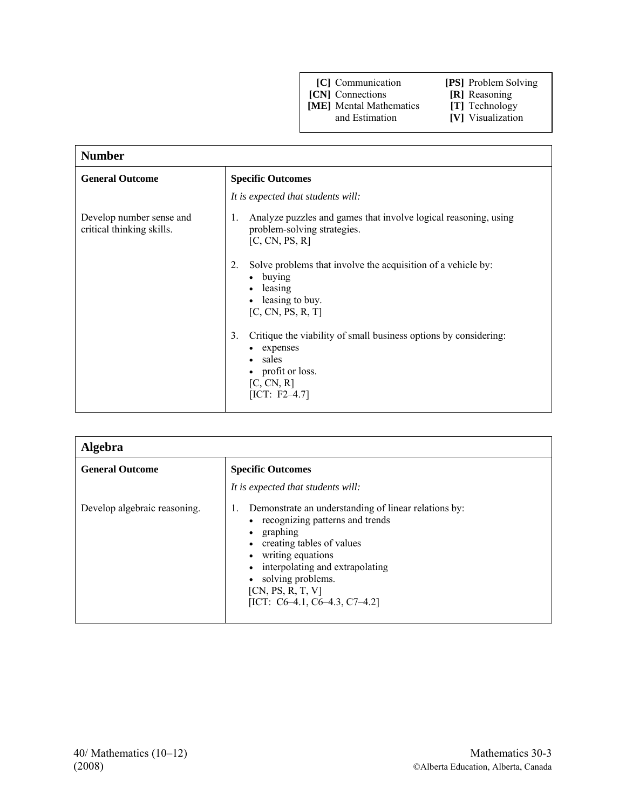- 
- **[CN]** Connections **[R]** Reasoning **[ME]** Mental Mathematics **[T]** Technology

**[ME]** Mental Mathematics and Estimation

- 
- **[V]** Visualization

| <b>Number</b>                                         |                                                                                                                                                              |
|-------------------------------------------------------|--------------------------------------------------------------------------------------------------------------------------------------------------------------|
| <b>General Outcome</b>                                | <b>Specific Outcomes</b>                                                                                                                                     |
|                                                       | It is expected that students will:                                                                                                                           |
| Develop number sense and<br>critical thinking skills. | Analyze puzzles and games that involve logical reasoning, using<br>1.<br>problem-solving strategies.<br>[C, CN, PS, R]                                       |
|                                                       | Solve problems that involve the acquisition of a vehicle by:<br>2.<br>• buying<br>leasing<br>$\bullet$<br>leasing to buy.<br>$\bullet$<br>[C, CN, PS, R, T]  |
|                                                       | Critique the viability of small business options by considering:<br>3.<br>expenses<br>• sales<br>profit or loss.<br>$\bullet$<br>[C, CN, R]<br>[ICT: F2–4.7] |

| <b>Algebra</b>               |                                                                                                                                                                                                                                                                                                                |
|------------------------------|----------------------------------------------------------------------------------------------------------------------------------------------------------------------------------------------------------------------------------------------------------------------------------------------------------------|
| <b>General Outcome</b>       | <b>Specific Outcomes</b>                                                                                                                                                                                                                                                                                       |
|                              | It is expected that students will:                                                                                                                                                                                                                                                                             |
| Develop algebraic reasoning. | Demonstrate an understanding of linear relations by:<br>1.<br>• recognizing patterns and trends<br>graphing<br>$\bullet$<br>creating tables of values<br>$\bullet$<br>writing equations<br>interpolating and extrapolating<br>solving problems.<br>[CN, PS, R, T, V]<br>[ICT: $C6-4.1$ , $C6-4.3$ , $C7-4.2$ ] |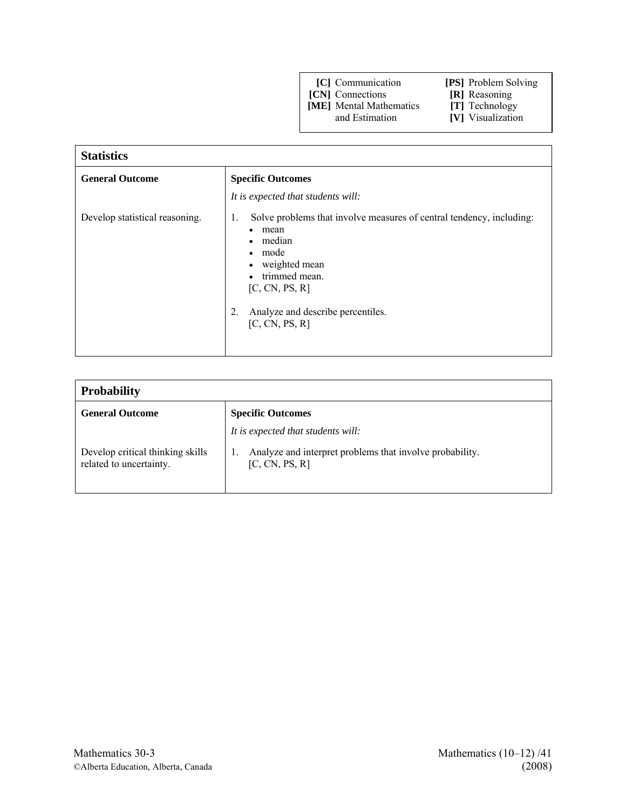**[CN]** Connections **[R]** Reasoning

**[ME]** Mental Mathematics **[T]** Technology

| <b>Statistics</b>              |                                                                                                                                                                                                                                                                   |  |  |  |
|--------------------------------|-------------------------------------------------------------------------------------------------------------------------------------------------------------------------------------------------------------------------------------------------------------------|--|--|--|
| <b>General Outcome</b>         | <b>Specific Outcomes</b>                                                                                                                                                                                                                                          |  |  |  |
|                                | It is expected that students will:                                                                                                                                                                                                                                |  |  |  |
| Develop statistical reasoning. | Solve problems that involve measures of central tendency, including:<br>1.<br>mean<br>٠<br>median<br>mode<br>$\bullet$<br>weighted mean<br>$\bullet$<br>trimmed mean.<br>$\bullet$<br>[C, CN, PS, R]<br>Analyze and describe percentiles.<br>2.<br>[C, CN, PS, R] |  |  |  |

| <b>Probability</b>                                          |                                                                            |  |  |  |
|-------------------------------------------------------------|----------------------------------------------------------------------------|--|--|--|
| <b>General Outcome</b>                                      | <b>Specific Outcomes</b>                                                   |  |  |  |
|                                                             | It is expected that students will:                                         |  |  |  |
| Develop critical thinking skills<br>related to uncertainty. | Analyze and interpret problems that involve probability.<br>[C, CN, PS, R] |  |  |  |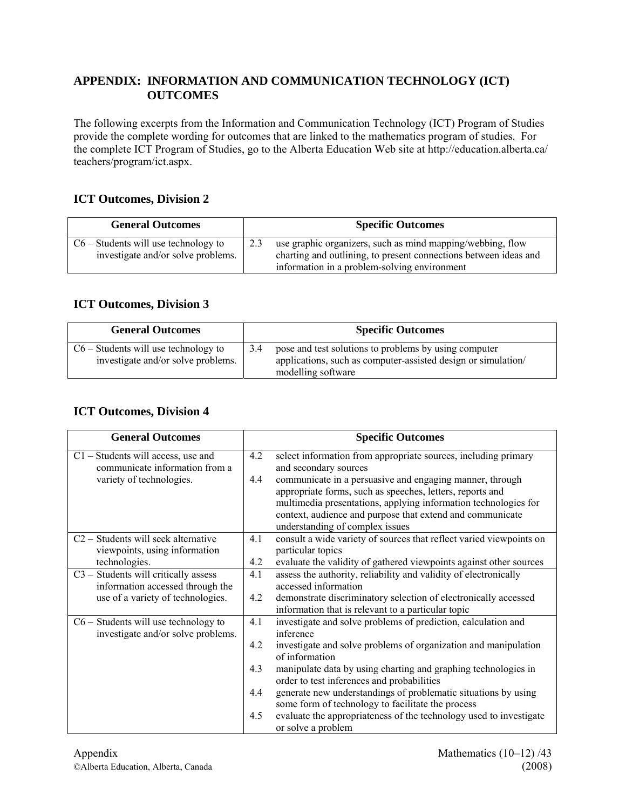## **APPENDIX: INFORMATION AND COMMUNICATION TECHNOLOGY (ICT) OUTCOMES**

The following excerpts from the Information and Communication Technology (ICT) Program of Studies provide the complete wording for outcomes that are linked to the mathematics program of studies. For the complete ICT Program of Studies, go to the Alberta Education Web site at http://education.alberta.ca/ teachers/program/ict.aspx.

## **ICT Outcomes, Division 2**

| <b>General Outcomes</b>                                                      |     | <b>Specific Outcomes</b>                                                                                                                                                       |
|------------------------------------------------------------------------------|-----|--------------------------------------------------------------------------------------------------------------------------------------------------------------------------------|
| $C6$ – Students will use technology to<br>investigate and/or solve problems. | 2.3 | use graphic organizers, such as mind mapping/webbing, flow<br>charting and outlining, to present connections between ideas and<br>information in a problem-solving environment |

## **ICT Outcomes, Division 3**

| <b>General Outcomes</b>                                                      |     | <b>Specific Outcomes</b>                                                                                                                     |
|------------------------------------------------------------------------------|-----|----------------------------------------------------------------------------------------------------------------------------------------------|
| $C6$ – Students will use technology to<br>investigate and/or solve problems. | 3.4 | pose and test solutions to problems by using computer<br>applications, such as computer-assisted design or simulation/<br>modelling software |

## **ICT Outcomes, Division 4**

| <b>General Outcomes</b>                |     | <b>Specific Outcomes</b>                                            |
|----------------------------------------|-----|---------------------------------------------------------------------|
| $C1$ – Students will access, use and   | 4.2 | select information from appropriate sources, including primary      |
| communicate information from a         |     | and secondary sources                                               |
| variety of technologies.               | 4.4 | communicate in a persuasive and engaging manner, through            |
|                                        |     | appropriate forms, such as speeches, letters, reports and           |
|                                        |     | multimedia presentations, applying information technologies for     |
|                                        |     | context, audience and purpose that extend and communicate           |
|                                        |     | understanding of complex issues                                     |
| C2 - Students will seek alternative    | 4.1 | consult a wide variety of sources that reflect varied viewpoints on |
| viewpoints, using information          |     | particular topics                                                   |
| technologies.                          | 4.2 | evaluate the validity of gathered viewpoints against other sources  |
| C3 - Students will critically assess   | 4.1 | assess the authority, reliability and validity of electronically    |
| information accessed through the       |     | accessed information                                                |
| use of a variety of technologies.      | 4.2 | demonstrate discriminatory selection of electronically accessed     |
|                                        |     | information that is relevant to a particular topic                  |
| $C6$ – Students will use technology to | 4.1 | investigate and solve problems of prediction, calculation and       |
| investigate and/or solve problems.     |     | inference                                                           |
|                                        | 4.2 | investigate and solve problems of organization and manipulation     |
|                                        |     | of information                                                      |
|                                        | 4.3 | manipulate data by using charting and graphing technologies in      |
|                                        |     | order to test inferences and probabilities                          |
|                                        | 4.4 | generate new understandings of problematic situations by using      |
|                                        |     | some form of technology to facilitate the process                   |
|                                        | 4.5 | evaluate the appropriateness of the technology used to investigate  |
|                                        |     | or solve a problem                                                  |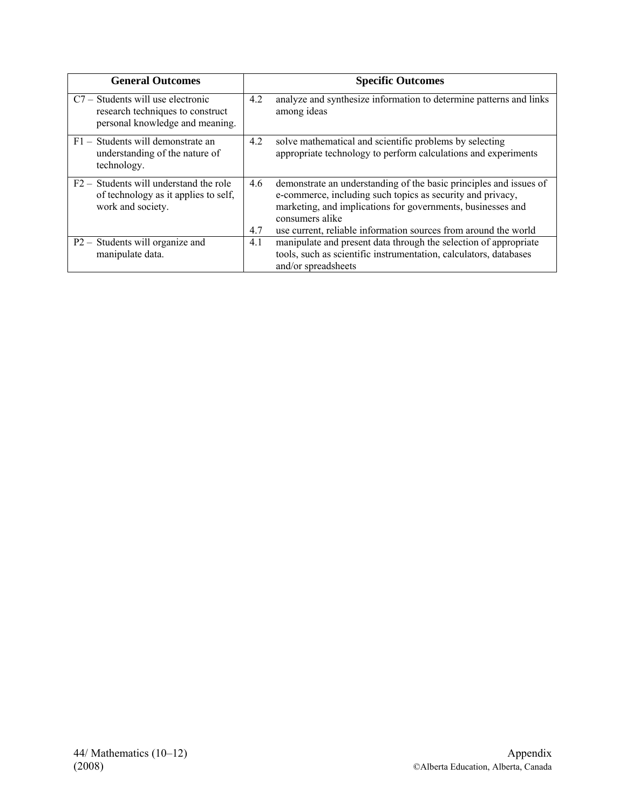| <b>General Outcomes</b>                                                                                  |            | <b>Specific Outcomes</b>                                                                                                                                                                                                                                                              |
|----------------------------------------------------------------------------------------------------------|------------|---------------------------------------------------------------------------------------------------------------------------------------------------------------------------------------------------------------------------------------------------------------------------------------|
| C7 – Students will use electronic<br>research techniques to construct<br>personal knowledge and meaning. | 4.2        | analyze and synthesize information to determine patterns and links<br>among ideas                                                                                                                                                                                                     |
| F1 – Students will demonstrate an<br>understanding of the nature of<br>technology.                       | 4.2        | solve mathematical and scientific problems by selecting<br>appropriate technology to perform calculations and experiments                                                                                                                                                             |
| $F2 -$ Students will understand the role<br>of technology as it applies to self.<br>work and society.    | 4.6<br>4.7 | demonstrate an understanding of the basic principles and issues of<br>e-commerce, including such topics as security and privacy,<br>marketing, and implications for governments, businesses and<br>consumers alike<br>use current, reliable information sources from around the world |
| P <sub>2</sub> – Students will organize and<br>manipulate data.                                          | 4.1        | manipulate and present data through the selection of appropriate<br>tools, such as scientific instrumentation, calculators, databases<br>and/or spreadsheets                                                                                                                          |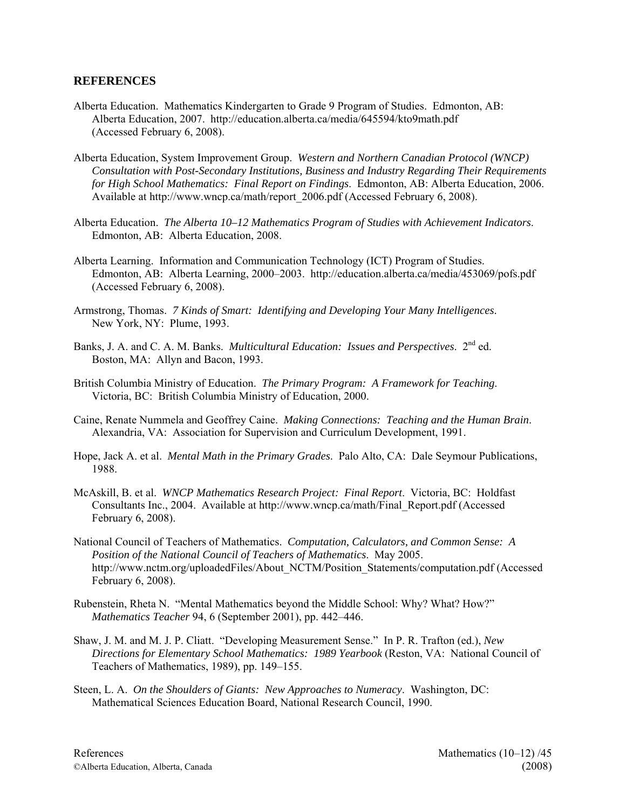#### **REFERENCES**

- Alberta Education. Mathematics Kindergarten to Grade 9 Program of Studies. Edmonton, AB: Alberta Education, 2007. http://education.alberta.ca/media/645594/kto9math.pdf (Accessed February 6, 2008).
- Alberta Education, System Improvement Group. *Western and Northern Canadian Protocol (WNCP) Consultation with Post-Secondary Institutions, Business and Industry Regarding Their Requirements for High School Mathematics: Final Report on Findings*. Edmonton, AB: Alberta Education, 2006. Available at http://www.wncp.ca/math/report\_2006.pdf (Accessed February 6, 2008).
- Alberta Education. *The Alberta 10–12 Mathematics Program of Studies with Achievement Indicators*. Edmonton, AB: Alberta Education, 2008.
- Alberta Learning. Information and Communication Technology (ICT) Program of Studies. Edmonton, AB: Alberta Learning, 2000–2003. http://education.alberta.ca/media/453069/pofs.pdf (Accessed February 6, 2008).
- Armstrong, Thomas. *7 Kinds of Smart: Identifying and Developing Your Many Intelligences*. New York, NY: Plume, 1993.
- Banks, J. A. and C. A. M. Banks. *Multicultural Education: Issues and Perspectives*. 2<sup>nd</sup> ed. Boston, MA: Allyn and Bacon, 1993.
- British Columbia Ministry of Education. *The Primary Program: A Framework for Teaching*. Victoria, BC: British Columbia Ministry of Education, 2000.
- Caine, Renate Nummela and Geoffrey Caine. *Making Connections: Teaching and the Human Brain*. Alexandria, VA: Association for Supervision and Curriculum Development, 1991.
- Hope, Jack A. et al. *Mental Math in the Primary Grades*. Palo Alto, CA: Dale Seymour Publications, 1988.
- McAskill, B. et al. *WNCP Mathematics Research Project: Final Report*. Victoria, BC: Holdfast Consultants Inc., 2004. Available at http://www.wncp.ca/math/Final\_Report.pdf (Accessed February 6, 2008).
- National Council of Teachers of Mathematics. *Computation, Calculators, and Common Sense: A Position of the National Council of Teachers of Mathematics*. May 2005. http://www.nctm.org/uploadedFiles/About\_NCTM/Position\_Statements/computation.pdf (Accessed February 6, 2008).
- Rubenstein, Rheta N. "Mental Mathematics beyond the Middle School: Why? What? How?" *Mathematics Teacher* 94, 6 (September 2001), pp. 442–446.
- Shaw, J. M. and M. J. P. Cliatt. "Developing Measurement Sense." In P. R. Trafton (ed.), *New Directions for Elementary School Mathematics: 1989 Yearbook* (Reston, VA: National Council of Teachers of Mathematics, 1989), pp. 149–155.
- Steen, L. A. *On the Shoulders of Giants: New Approaches to Numeracy*. Washington, DC: Mathematical Sciences Education Board, National Research Council, 1990.